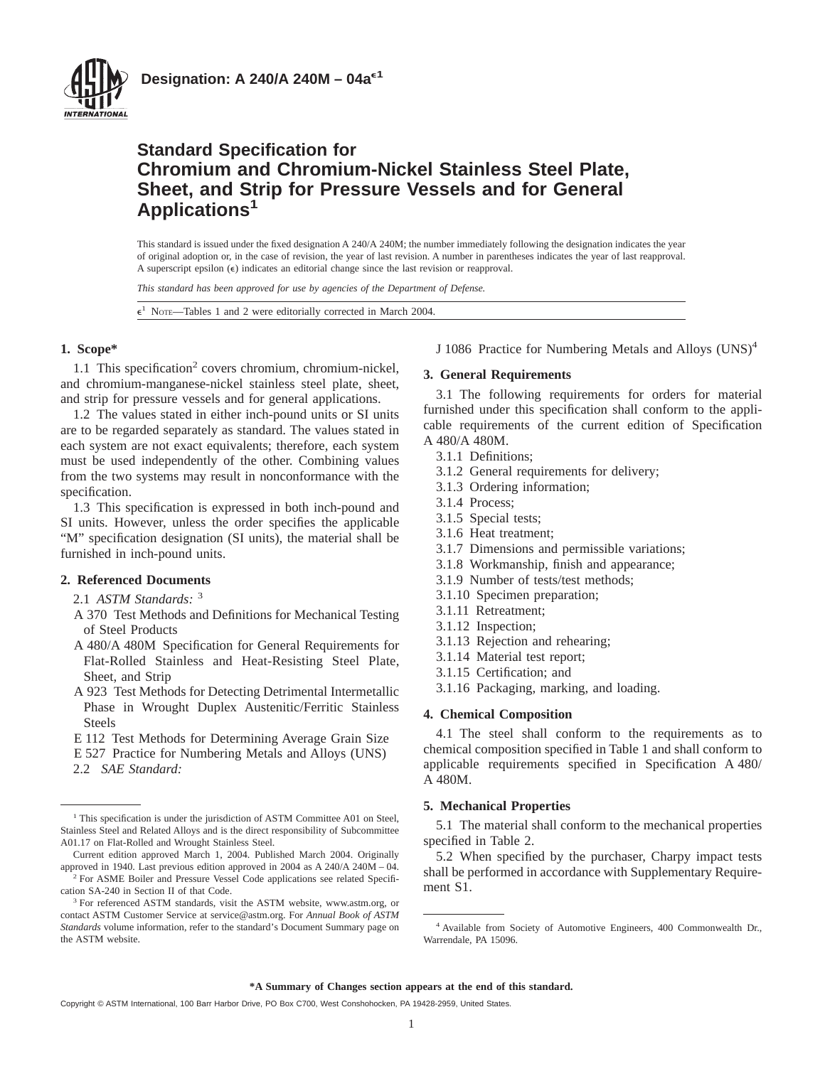

## **Standard Specification for Chromium and Chromium-Nickel Stainless Steel Plate, Sheet, and Strip for Pressure Vessels and for General Applications<sup>1</sup>**

This standard is issued under the fixed designation A 240/A 240M; the number immediately following the designation indicates the year of original adoption or, in the case of revision, the year of last revision. A number in parentheses indicates the year of last reapproval. A superscript epsilon  $(\epsilon)$  indicates an editorial change since the last revision or reapproval.

*This standard has been approved for use by agencies of the Department of Defense.*

 $\epsilon^1$  Nore—Tables 1 and 2 were editorially corrected in March 2004.

### **1. Scope\***

1.1 This specification<sup>2</sup> covers chromium, chromium-nickel, and chromium-manganese-nickel stainless steel plate, sheet, and strip for pressure vessels and for general applications.

1.2 The values stated in either inch-pound units or SI units are to be regarded separately as standard. The values stated in each system are not exact equivalents; therefore, each system must be used independently of the other. Combining values from the two systems may result in nonconformance with the specification.

1.3 This specification is expressed in both inch-pound and SI units. However, unless the order specifies the applicable "M" specification designation (SI units), the material shall be furnished in inch-pound units.

### **2. Referenced Documents**

2.1 *ASTM Standards:* <sup>3</sup>

- A 370 Test Methods and Definitions for Mechanical Testing of Steel Products
- A 480/A 480M Specification for General Requirements for Flat-Rolled Stainless and Heat-Resisting Steel Plate, Sheet, and Strip
- A 923 Test Methods for Detecting Detrimental Intermetallic Phase in Wrought Duplex Austenitic/Ferritic Stainless Steels
- E 112 Test Methods for Determining Average Grain Size
- E 527 Practice for Numbering Metals and Alloys (UNS)
- 2.2 *SAE Standard:*

J 1086 Practice for Numbering Metals and Alloys (UNS)4

### **3. General Requirements**

3.1 The following requirements for orders for material furnished under this specification shall conform to the applicable requirements of the current edition of Specification A 480/A 480M.

- 3.1.1 Definitions;
- 3.1.2 General requirements for delivery;
- 3.1.3 Ordering information;
- 3.1.4 Process;
- 3.1.5 Special tests;
- 3.1.6 Heat treatment;
- 3.1.7 Dimensions and permissible variations;
- 3.1.8 Workmanship, finish and appearance;
- 3.1.9 Number of tests/test methods;
- 3.1.10 Specimen preparation;
- 3.1.11 Retreatment;
- 3.1.12 Inspection;
- 3.1.13 Rejection and rehearing;
- 3.1.14 Material test report;
- 3.1.15 Certification; and
- 3.1.16 Packaging, marking, and loading.

### **4. Chemical Composition**

4.1 The steel shall conform to the requirements as to chemical composition specified in Table 1 and shall conform to applicable requirements specified in Specification A 480/ A 480M.

### **5. Mechanical Properties**

5.1 The material shall conform to the mechanical properties specified in Table 2.

5.2 When specified by the purchaser, Charpy impact tests shall be performed in accordance with Supplementary Requirement S1.

<sup>&</sup>lt;sup>1</sup> This specification is under the jurisdiction of ASTM Committee A01 on Steel, Stainless Steel and Related Alloys and is the direct responsibility of Subcommittee A01.17 on Flat-Rolled and Wrought Stainless Steel.

Current edition approved March 1, 2004. Published March 2004. Originally approved in 1940. Last previous edition approved in 2004 as A 240/A 240M – 04.

<sup>2</sup> For ASME Boiler and Pressure Vessel Code applications see related Specification SA-240 in Section II of that Code.

<sup>&</sup>lt;sup>3</sup> For referenced ASTM standards, visit the ASTM website, www.astm.org, or contact ASTM Customer Service at service@astm.org. For *Annual Book of ASTM Standards* volume information, refer to the standard's Document Summary page on the ASTM website.

<sup>4</sup> Available from Society of Automotive Engineers, 400 Commonwealth Dr., Warrendale, PA 15096.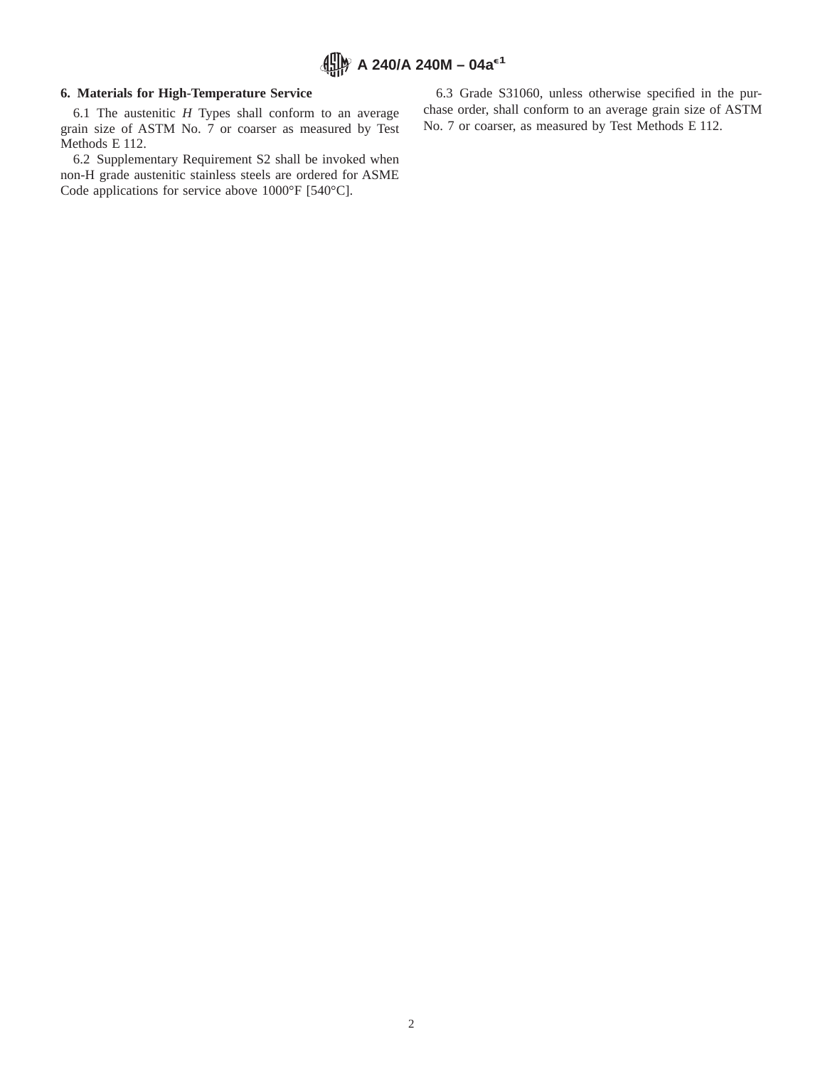### **6. Materials for High-Temperature Service**

6.1 The austenitic *H* Types shall conform to an average grain size of ASTM No. 7 or coarser as measured by Test Methods E 112.

6.2 Supplementary Requirement S2 shall be invoked when non-H grade austenitic stainless steels are ordered for ASME Code applications for service above 1000°F [540°C].

6.3 Grade S31060, unless otherwise specified in the purchase order, shall conform to an average grain size of ASTM No. 7 or coarser, as measured by Test Methods E 112.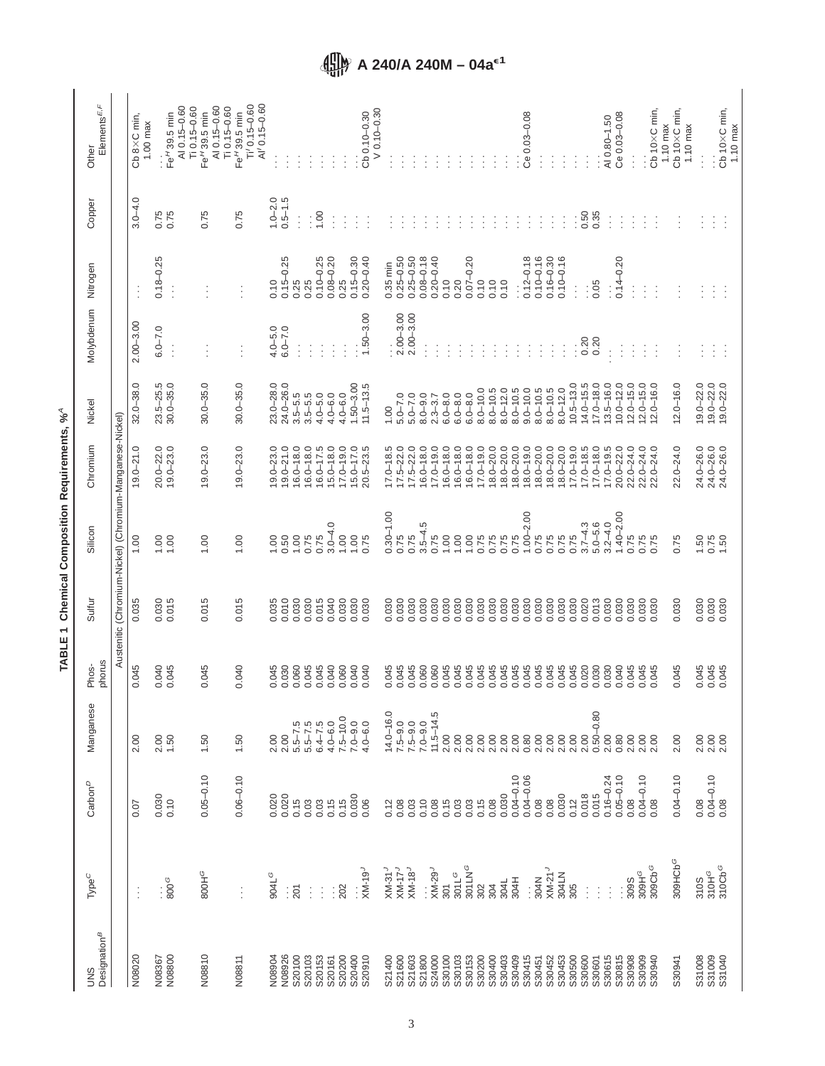| Designation <sup>B</sup><br><b>SND</b> | $Type^C$                          | $\mathsf{Cartoon}^{\mathsf{D}}$ | Manganese                   | phorus<br>Phos- | Sulfur         | Silicon                                                  | Chromium                       | Nickel                         | Molybdenum              | Nitrogen                       | Copper                  | Elements $^{E,F}$<br>Other                                   |
|----------------------------------------|-----------------------------------|---------------------------------|-----------------------------|-----------------|----------------|----------------------------------------------------------|--------------------------------|--------------------------------|-------------------------|--------------------------------|-------------------------|--------------------------------------------------------------|
|                                        |                                   |                                 |                             |                 |                | Austenitic (Chromium-Nickel) (Chromium-Manganese-Nickel) |                                |                                |                         |                                |                         |                                                              |
| N08020                                 | $\vdots$                          | 0.07                            | 2.00                        | 0.045           | 0.035          | 1.00                                                     | $19.0 - 21.0$                  | $32.0 - 38.0$                  | $2.00 - 3.00$           | ÷                              | $3.0 - 4.0$             | Cb 8×C min,<br>$1.00$ max                                    |
| N08800<br>N08367                       | $\frac{5006}{3}$                  | 0.030<br>0.10                   | 1.50<br>2.00                | 0.040<br>0.045  | 0.030<br>0.015 | 1.00<br>1.00                                             | $20.0 - 22.0$<br>$19.0 - 23.0$ | $23.5 - 25.5$<br>$30.0 - 35.0$ | $6.0 - 7.0$<br>$\vdots$ | $0.18 - 0.25$<br>Í             | 0.75<br>0.75            | $FeH$ 39.5 min                                               |
| N08810                                 | 800H <sup>G</sup>                 | $0.05 - 0.10$                   | 1.50                        | 0.045           | 0.015          | 1.00                                                     | $19.0 - 23.0$                  | $30.0 - 35.0$                  |                         |                                | 0.75                    | AI 0.15-0.60<br>$T1 0.15 - 0.60$<br>Fe <sup>H</sup> 39.5 min |
| N08811                                 | $\vdots$                          | $0.06 - 0.10$                   | 1.50                        | 0.040           | 0.015          | 1.00                                                     | $19.0 - 23.0$                  | $30.0 - 35.0$                  | $\vdots$                | Ì                              | 0.75                    | AI 0.15-0.60<br>Ti 0.15-0.60<br>Fe <sup>H</sup> 39.5 min     |
|                                        |                                   |                                 |                             |                 |                |                                                          |                                |                                |                         |                                |                         | AI' 0.15-0.60<br>$Ti' 0.15 - 0.60$                           |
| N08904                                 | 904L <sup>G</sup>                 | 0.020                           | 2.00                        | 0.045           | 0.035          | 1.00                                                     | $19.0 - 23.0$                  | $23.0 - 28.0$                  | $4.0 - 5.0$             | 0.10                           | $1.0 - 2.0$             |                                                              |
| N08926<br>S20100                       | 201                               | 0.020<br>0.15                   | 2.00                        | 0.030<br>0.060  | 0.010<br>0.030 | 0.50<br>1.00                                             | $16.0 - 18.0$<br>$19.0 - 21.0$ | 24.0-26.0<br>$3.5 - 5.5$       | $6.0 - 7.0$             | $0.15 - 0.25$<br>0.25          | $0.5 - 1.5$<br>$\vdots$ |                                                              |
| S20103                                 |                                   | 0.03                            | $5.5 - 7.5$<br>$5.5 - 7.5$  | 0.045           | 0.030          | 0.75                                                     | $16.0 - 18.0$                  | $3.5 - 5.5$                    |                         | 0.25                           | İ,                      |                                                              |
| S20153                                 |                                   | 0.03                            | $6.4 - 7.5$                 | 0.045           | 0.015          | 0.75                                                     | $16.0 - 17.5$                  | $4.0 - 5.0$                    |                         | $0.10 - 0.25$                  | 1.00                    |                                                              |
| S20200<br>S20161                       | 202                               | 0.15<br>0.15                    | $7.5 - 10.0$<br>$4.0 - 6.0$ | 0.040<br>0.060  | 0.040<br>0.030 | $3.0 - 4.0$<br>1.00                                      | $15.0 - 18.0$<br>$17.0 - 19.0$ | $4.0 - 6.0$<br>$4.0 - 6.0$     |                         | $0.08 - 0.20$<br>0.25          | İ<br>÷                  |                                                              |
| S20400                                 |                                   | 0.030                           | $7.0 - 9.0$                 | 0.040           | 0.030          | 1.00<br>0.75                                             | $15.0 - 17.0$                  | $1.50 - 3.00$                  |                         | $0.15 - 0.30$                  | ÷                       |                                                              |
| S20910                                 | $XM-193$                          | 0.06                            | $4.0 - 6.0$                 | 0.040           | 0.030          |                                                          | $20.5 - 23.5$                  | $11.5 - 13.5$                  | $1.50 - 3.00$           | $0.20 - 0.40$                  | ÷                       | $V$ 0.10-0.30<br>Cb 0.10-0.30                                |
| S21400                                 | $XM-31J$                          | 0.12                            | $14.0 - 16.0$               | 0.045           | 0.030          | $0.30 - 1.00$                                            | $17.0 - 18.5$                  | 00.1                           | $\frac{1}{2.00-3.00}$   | $0.35$ min                     |                         |                                                              |
| S21600<br>S21603                       | $X$ M-17 <sup>J</sup><br>$XM-18J$ | 0.08<br>0.03                    | $7.5 - 9.0$<br>$7.5 - 9.0$  | 0.045<br>0.045  | 0.030<br>0.030 | 0.75<br>0.75                                             | $17.5 - 22.0$<br>$17.5 - 22.0$ | $5.0 - 7.0$<br>$5.0 - 7.0$     | $2.00 - 3.00$           | $0.25 - 0.50$<br>$0.25 - 0.50$ |                         |                                                              |
| S21800                                 |                                   | 0.10                            | $7.0 - 9.0$                 | 0.060           | 0.030          | $3.5 - 4.5$                                              | $16.0 - 18.0$                  | $8.0 - 9.0$                    |                         | $0.08 - 0.18$                  |                         |                                                              |
| S24000                                 | $XM-29$ <sup>J</sup>              | 0.08                            | $11.5 - 14.5$               | 0.060           | 0.030          | 0.75                                                     | $7.0 - 19.0$                   | $2.3 - 3.7$                    |                         | $0.20 - 0.40$                  |                         |                                                              |
| S30100<br>S30103                       | 301L <sup>G</sup><br>301          | 0.15<br>0.03                    | 2.00<br>2.00                | 0.045<br>0.045  | 0.030<br>0.030 | 1.00<br>1.00                                             | $16.0 - 18.0$<br>$6.0 - 18.0$  | $6.0 - 8.0$<br>$6.0 - 8.0$     |                         | 0.10<br>0.20                   |                         |                                                              |
| S30153                                 | <b>SO1LNG</b>                     | 0.03                            | 2.00                        | 0.045           | 0.030          | 1.00                                                     | $16.0 - 18.0$                  | $6.0 - 8.0$                    |                         | $0.07 - 0.20$                  |                         |                                                              |
| S30200                                 | 302                               | 0.15                            | 2.00                        | 0.045           | 0.030          | 0.75                                                     | $17.0 - 19.0$                  | $8.0 - 10.0$                   |                         | 0.10                           |                         |                                                              |
| S30400<br>S30403                       | 304L<br>304                       | 0.030<br>0.08                   | 2.00<br>2.00                | 0.045<br>0.045  | 0.030<br>0.030 | 0.75<br>0.75                                             | $18.0 - 20.0$<br>$18.0 - 20.0$ | $8.0 - 12.0$<br>$8.0 - 10.5$   |                         | 0.10<br>0.10                   |                         |                                                              |
| S30409                                 | 304H                              | $0.04 - 0.10$                   | 2.00                        | 0.045           | 0.030          | 0.75                                                     | $8.0 - 20.0$                   | $8.0 - 10.5$                   |                         | $\vdots$                       | ÷                       |                                                              |
| S30415                                 | 304N                              | $0.04 - 0.06$                   | 0.80                        | 0.045           | 0.030          | $1.00 - 2.00$                                            | $18.0 - 19.0$                  | $9.0 - 10.0$                   |                         | $0.12 - 0.18$                  | ÷                       | $Ce$ 0.03-0.08                                               |
| S30452<br>S30451                       | $XM-21J$                          | 0.08<br>0.08                    | 2.00<br>2.00                | 0.045<br>0.045  | 0.030<br>0.030 | 0.75                                                     | $18.0 - 20.0$<br>$18.0 - 20.0$ | $8.0 - 10.5$<br>$8.0 - 10.5$   | $\vdots$                | $0.10 - 0.16$<br>$0.16 - 0.30$ | ÷<br>÷                  |                                                              |
| S30453                                 | 304LN                             | 0.030                           | 2.00                        | 0.045           | 0.030          | 0.75                                                     | $18.0 - 20.0$                  | $8.0 - 12.0$                   | ÷                       | $0.10 - 0.16$                  | ÷                       |                                                              |
| S30500                                 | 305                               | 0.12                            | 2.00                        | 0.045           | 0.030          | 0.75                                                     | $7.0 - 19.0$                   | $10.5 - 13.0$                  | $\vdots$                | $\vdots$                       | ÷                       |                                                              |
| S30600<br>S30601                       | $\ddot{\cdot}$<br>$\ddot{\cdot}$  | 0.018<br>0.015                  | $0.50 - 0.80$<br>2.00       | 0.020<br>0.030  | 0.020<br>0.013 | $3.7 - 4.3$<br>$5.0 - 5.6$                               | $17.0 - 18.0$<br>$17.0 - 18.5$ | $14.0 - 15.5$<br>$7.0 - 18.0$  | 0.20<br>0.20            | 0.05<br>İ,                     | 0.50<br>0.35            |                                                              |
| S30615                                 | $\vdots$                          | $0.16 - 0.24$                   | 2.00                        | 0.030           | 0.030          | $3.2 - 4.0$                                              | $17.0 - 19.5$                  | $13.5 - 16.0$                  |                         | $\vdots$                       | ŧ                       | AI 0.80-1.50                                                 |
| S30815                                 |                                   | $0.05 - 0.10$                   | 0.80                        | 0.040           | 0.030          | $1.40 - 2.00$                                            | $20.0 - 22.0$                  | $0.0 - 12.0$                   | $\vdots$                | $0.14 - 0.20$                  | ÷                       | $Ce$ 0.03-0.08                                               |
| S30909<br>S30908                       | 309H <sup>G</sup><br>309S         | $0.04 - 0.10$<br>0.08           | 2.00<br>2.00                | 0.045<br>0.045  | 0.030<br>0.030 | 0.75<br>0.75                                             | $22.0 - 24.0$<br>$22.0 - 24.0$ | $2.0 - 15.0$<br>$2.0 - 15.0$   | ÷                       |                                | ÷                       |                                                              |
| S30940                                 | 309Cb <sup>G</sup>                | 0.08                            | 2.00                        | 0.045           | 0.030          | 0.75                                                     | $22.0 - 24.0$                  | $2.0 - 16.0$                   | ÷<br>$\ddot{\cdot}$     |                                | ÷<br>÷                  | Cb 10×C min,                                                 |
| S30941                                 | 309HCb <sup>G</sup>               | $0.04 - 0.10$                   | 2.00                        | 0.045           | 0.030          | 0.75                                                     | $22.0 - 24.0$                  | $2.0 - 16.0$                   |                         |                                |                         | Cb 10×C min,<br>1.10 max                                     |
|                                        |                                   |                                 |                             |                 |                |                                                          |                                |                                |                         |                                |                         | 1.10 max                                                     |
| S31008                                 | 310H <sup>G</sup><br>310S         | 0.08                            | 00<br>000<br>000            | 0.045<br>0.045  | 0.030<br>0.030 | 1.50<br>0.75                                             | 24.0-26.0                      | $9.0 - 22.0$                   |                         |                                |                         | $\vdots$                                                     |
| S31009<br>S31040                       | 310Cb <sup>G</sup>                | $0.04 - 0.10$<br>$0.08$         |                             | 0.045           | 0.030          | 1.50                                                     | 24.0-26.0<br>24.0-26.0         | $19.0 - 22.0$<br>$19.0 - 22.0$ |                         |                                |                         | Cb 10×C min,<br>1.10 max                                     |

TABLE 1 Chemical Composition Requirements, %^ **TABLE 1 Chemical Composition Requirements, %**A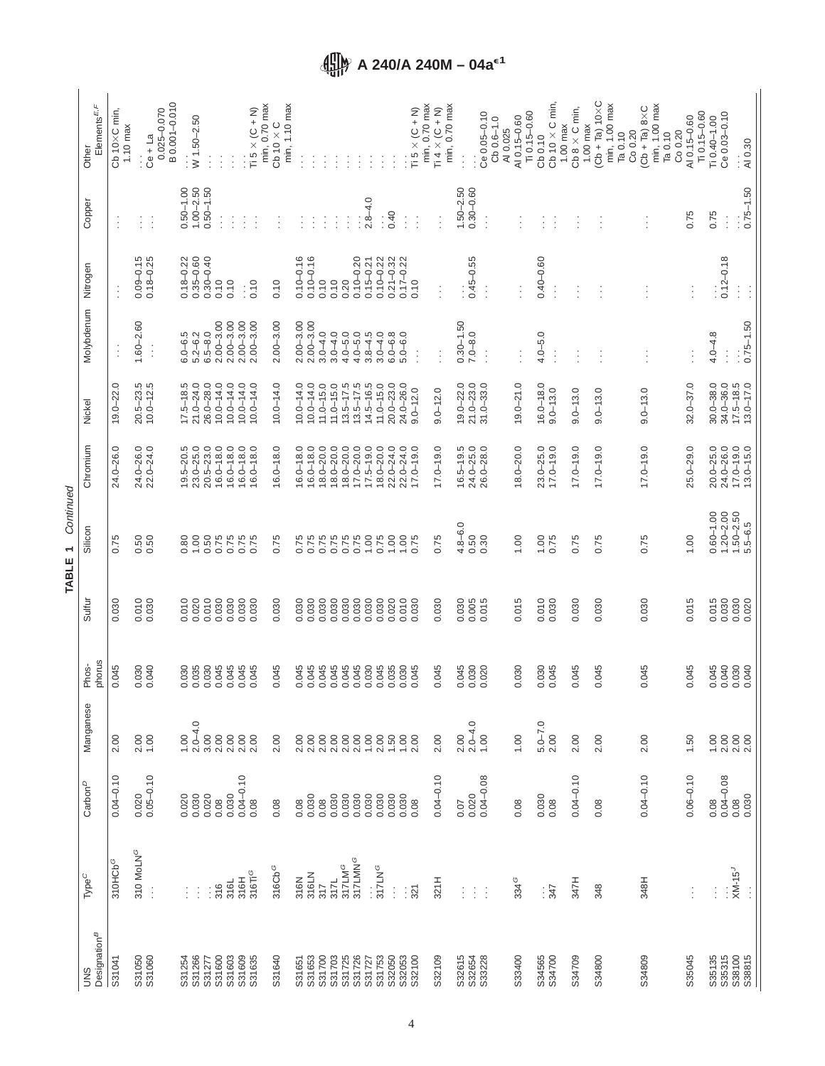|                                            | Elements $^{E,F}$<br>Other             | Cb 10×C min,<br>1.10 max | B0.001-0.010<br>$0.025 - 0.070$<br>$Ce + La$ |       | W 1.50-2.50                    |                   |               |               | $\overline{11}5 \times (C + N)$ | min, 0.70 max<br>Cb 10 $\times$ C | min, 1.10 max |                                |               |               |                    |                                |                    |                            | $\overline{11}$ 5 $\times$ (C + N) | min, 0.70 max | min, 0.70 max<br>$\overline{\Pi}4 \times (\overline{C} + \overline{N})$ |                                |                | $Ce$ $0.05 - 0.10$<br>Cb 0.6-1.0 | AI 0.025 | Ti 0.15-0.60<br>AI 0.15-0.60 | Cb 0.10               | Cb 10 $\times$ C min,<br>$1.00$ max | Cb $8 \times C$ min,<br>1.00 max | $(Cb + Ta) 10 \times C$<br>min, 1.00 max | $Co$ 0.20<br>Ta 0.10 | $O \times 8$ (ch + Ta) $8 \times C$ | min, 1.00 max<br>Ta 0.10 | Co 0.20 | Ti 0.15-0.60<br>AI 0.15-0.60 | Π 0.40-1.00      | Ce 0.03-0.10                   | $\frac{1}{2}$ 0.30                                          |
|--------------------------------------------|----------------------------------------|--------------------------|----------------------------------------------|-------|--------------------------------|-------------------|---------------|---------------|---------------------------------|-----------------------------------|---------------|--------------------------------|---------------|---------------|--------------------|--------------------------------|--------------------|----------------------------|------------------------------------|---------------|-------------------------------------------------------------------------|--------------------------------|----------------|----------------------------------|----------|------------------------------|-----------------------|-------------------------------------|----------------------------------|------------------------------------------|----------------------|-------------------------------------|--------------------------|---------|------------------------------|------------------|--------------------------------|-------------------------------------------------------------|
|                                            | Copper                                 | $\vdots$                 | $\vdots$<br>$\vdots$                         |       | $1.00 - 2.50$<br>$0.50 - 1.00$ | $0.50 - 1.50$     |               |               |                                 |                                   |               | ÷                              |               |               |                    | $2.8 - 4.0$                    |                    | 0.40                       | Ì                                  | $\vdots$      | İ                                                                       | $1.50 - 2.50$                  | $0.30 - 0.60$  | $\vdots$                         |          |                              |                       |                                     |                                  |                                          |                      |                                     |                          |         | 0.75                         | 0.75             | ÷                              | $0.75 - 1.50$                                               |
|                                            | Nitrogen                               | $\vdots$                 | $0.09 - 0.15$<br>$0.18 - 0.25$               |       | $0.35 - 0.60$<br>$0.18 - 0.22$ | $0.30 - 0.40$     | 0.10          | 0.10          | 0.10<br>$\vdots$                | 0.10                              |               | $0.10 - 0.16$<br>$0.10 - 0.16$ | 0.10          | 0.10          | 0.20               | $0.10 - 0.20$<br>$0.15 - 0.21$ | $0.10 - 0.22$      | $0.21 - 0.32$              | $0.17 - 0.22$                      | 0.10          | $\vdots$                                                                |                                | $0.45 - 0.55$  | $\vdots$                         |          |                              | $0.40 - 0.60$         | $\vdots$                            |                                  |                                          |                      |                                     |                          |         | $\vdots$                     | $\vdots$         | $0.12 - 0.18$                  | $\vdots$<br>$\vdots$                                        |
|                                            | Molybdenum                             | ţ                        | $1.60 - 2.60$                                |       | $6.0 - 6.5$<br>$5.2 - 6.2$     | $6.5 - 8.0$       | $2.00 - 3.00$ | $2.00 - 3.00$ | $2.00 - 3.00$<br>$2.00 - 3.00$  | $2.00 - 3.00$                     |               | $2.00 - 3.00$<br>$2.00 - 3.00$ | $3.0 - 4.0$   | $3.0 - 4.0$   | $4.0 - 5.0$        | $4.0 - 5.0$<br>$3.8 - 4.5$     | $3.0 - 4.0$        | $6.0 - 6.8$<br>$5.0 - 6.0$ |                                    | $\vdots$      | $\ddot{\cdot}$                                                          | $0.30 - 1.50$                  | $7.0 - 8.0$    |                                  |          |                              | $4.0 - 5.0$           | $\vdots$                            | $\vdots$                         |                                          |                      |                                     |                          |         | $\vdots$                     | $4.0 - 4.8$      |                                | $0.75 - 1.50$                                               |
|                                            | Nickel                                 | $19.0 - 22.0$            | $20.5 - 23.5$<br>$10.0 - 12.5$               |       | $17.5 - 18.5$<br>$21.0 - 24.0$ | $26.0 - 28.0$     | $10.0 - 14.0$ | $10.0 - 14.0$ | $10.0 - 14.0$<br>$10.0 - 14.0$  | $10.0 - 14.0$                     |               | $10.0 - 14.0$<br>$10.0 - 14.0$ | $11.0 - 15.0$ | $11.0 - 15.0$ | $13.5 - 17.5$      | $13.5 - 17.5$<br>$14.5 - 16.5$ | $11.0 - 15.0$      | $20.0 - 23.0$              | 24.0-26.0                          | $9.0 - 12.0$  | $9.0 - 12.0$                                                            | $19.0 - 22.0$                  | $21.0 - 23.0$  | $31.0 - 33.0$                    |          | $19.0 - 21.0$                | $16.0 - 18.0$         | $9.0 - 13.0$                        | $9.0 - 13.0$                     | $9.0 - 13.0$                             |                      | $9.0 - 13.0$                        |                          |         | $32.0 - 37.0$                | $30.0 - 38.0$    | $34.0 - 36.0$                  | $17.5 - 18.5$<br>$13.0 - 17.0$                              |
|                                            | Chromium                               | 24.0-26.0                | 24.0-26.0<br>22.0-24.0                       |       | $19.5 - 20.5$<br>$23.0 - 25.0$ | $20.5 - 23.0$     | $16.0 - 18.0$ | $16.0 - 18.0$ | $16.0 - 18.0$<br>$16.0 - 18.0$  | $16.0 - 18.0$                     |               | $16.0 - 18.0$<br>$16.0 - 18.0$ | $18.0 - 20.0$ | $18.0 - 20.0$ | $18.0 - 20.0$      | $17.0 - 20.0$<br>$17.5 - 19.0$ | $18.0 - 20.0$      | $22.0 - 24.0$              | $22.0 - 24.0$                      | $17.0 - 19.0$ | $17.0 - 19.0$                                                           | $16.5 - 19.5$<br>$24.0 - 25.0$ |                | $26.0 - 28.0$                    |          | $18.0 - 20.0$                | $23.0 - 25.0$         | $17.0 - 19.0$                       | $17.0 - 19.0$                    | $17.0 - 19.0$                            |                      | $17.0 - 19.0$                       |                          |         | $25.0 - 29.0$                | $20.0 - 25.0$    | 24.0-26.0                      | $17.0 - 19.0$<br>$13.0 - 15.0$                              |
| Continued<br>$\blacktriangledown$<br>TABLE | Silicon                                | 0.75                     | 0.50<br>0.50                                 |       | 1.00<br>0.80                   | 0.50              | 0.75          | 0.75          | 0.75<br>0.75                    | 0.75                              |               | 0.75<br>0.75                   | 0.75          | 0.75          | 0.75               | 0.75<br>1.00                   | 0.75               | 1.00                       | 1.00                               | 0.75          | 0.75                                                                    | $4.8 - 6.0$                    | 0.50           | 0.30                             |          | 1.00                         | 1.00                  | 0.75                                | 0.75                             | 0.75                                     |                      | 0.75                                |                          |         | 1.00                         | $0.60 - 1.00$    | $1.20 - 2.00$<br>$1.50 - 2.50$ | $5.5 - 6.5$                                                 |
|                                            | Sulfur                                 | 0.030                    | 0.010<br>0.030                               | 0.010 | 0.020                          | 0.010             | 0.030         | 0.030         | 0.030<br>0.030                  | 0.030                             |               | 0.030<br>0.030                 | 0.030         | 0.030         | 0.030              | 0.030<br>0.030                 | 0.030              | 0.020                      | 0.010                              |               | 0.030                                                                   | 0.030                          | 0.005          | 0.015                            |          | 0.015                        | 0.010                 | 0.030                               | 0.030                            | 0.030                                    |                      | 0.030                               |                          |         | 0.015                        | 0.015            | 0.030                          | 0.020                                                       |
|                                            | phorus<br>Phos-                        | 0.045                    | 0.030<br>0.040                               | 0.030 | 0.035                          | 0.030             | 0.045         | 0.045         | 0.045<br>0.045                  | 0.045                             |               | 0.045<br>0.045                 | 0.045         | 0.045         | 0.045              | 0.045<br>0.030                 |                    | 0.045                      | 0.030<br>0.045                     |               | 0.045                                                                   | 0.045                          | 0.030<br>0.020 |                                  |          | 0.030                        | 0.030                 | 0.045                               | 0.045                            | 0.045                                    |                      | 0.045                               |                          |         | 0.045                        | 0.045            | 0.030<br>0.040                 | 0.040                                                       |
|                                            | Manganese                              | 2.00                     | 2.00<br>1.00                                 |       | $2.0 - 4.0$<br>1.00            | 3.00              | 2.00          | 2.00          | 2.00<br>2.00                    | 2.00                              |               | 2.00<br>2.00                   | 2.00          | 2.00          | 2.00               | 2.00<br>1.00                   | 2.00               |                            | $1.50$<br>$1.00$<br>$2.00$         |               | 2.00                                                                    | 2.00                           | $2.0 - 4.0$    | 1.00                             |          | 1.00                         | $5.0 - 7.0$<br>$2.00$ |                                     | 2.00                             | 2.00                                     |                      | 2.00                                |                          |         | 1.50                         | $1.00$<br>$2.00$ |                                | 2.00<br>2.00                                                |
|                                            | $\mathsf{Cartoon}^{\mathsf{D}}$        | $0.04 - 0.10$            | $0.05 - 0.10$<br>0.020                       | 0.020 | 0.030                          | $0.020$<br>$0.08$ |               | 0.030         | $0.04 - 0.10$<br>0.08           | 0.08                              |               | 0.030<br>0.08                  | 0.08          | 0.030         | 0.030              | 0.030<br>0.030                 |                    |                            | $0.030$<br>$0.030$<br>$0.08$       |               | $0.04 - 0.10$                                                           | 0.07                           | 0.020          | $0.04 - 0.08$                    |          | 0.08                         | $0.030$<br>$0.08$     |                                     | $0.04 - 0.10$                    | 0.08                                     |                      | $0.04 - 0.10$                       |                          |         | $0.06 - 0.10$                | 0.08             |                                | $\begin{array}{c} 0.04 - 0.08 \\ 0.08 \\ 0.030 \end{array}$ |
|                                            | Type <sup>C</sup>                      | 310HCb <sup>G</sup>      | 310 MoLN <sup>G</sup>                        |       |                                |                   | 316           | 316L          | 316T <sup>G</sup><br>316H       | 316Cb <sup>G</sup>                |               | 316LN<br>316N                  | 317           | 317L          | 317LM <sup>G</sup> | 317LMN <sup>G</sup>            | 317LN <sup>G</sup> | $\vdots$                   | : ବ୍ଲ                              |               | 321H                                                                    | $\vdots$                       | ÷              | ÷                                |          | 334 <sup>G</sup>             | : द्व                 |                                     | 347H                             | 348                                      |                      | 348H                                |                          |         | $\vdots$                     | $\vdots$         | $XM-15J$                       |                                                             |
|                                            | Designation <sup>B</sup><br><b>SND</b> | S31041                   | S31050<br>S31060                             |       | S31254<br>S31266               | S31277<br>S31600  |               | S31603        | S31609<br>S31635                | S31640                            |               | S31653<br>S31651               | S31700        | S31703        | S31725             | S31726<br>S31727               | S31753             | S32050                     | S32053                             | S32100        | S32109                                                                  | S32615<br>S32654<br>S33228     |                |                                  |          | S33400                       | S34565                | S34700                              | S34709                           | S34800                                   |                      | S34809                              |                          |         | S35045                       | S35135           | S35315                         | S38100<br>S38815                                            |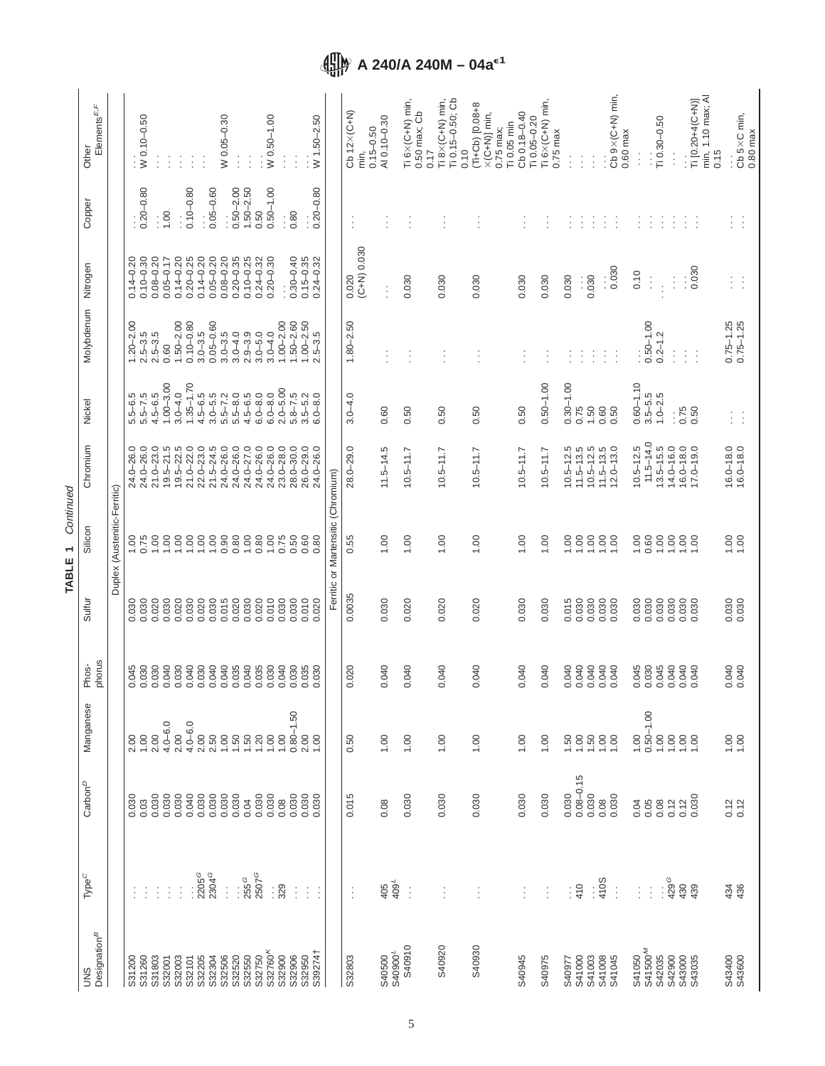|                                        |                    |                               |                       |                 | TABLE          | Continued<br>$\overline{\phantom{0}}$ |                                |                              |                                |                                |               |                                                                            |
|----------------------------------------|--------------------|-------------------------------|-----------------------|-----------------|----------------|---------------------------------------|--------------------------------|------------------------------|--------------------------------|--------------------------------|---------------|----------------------------------------------------------------------------|
| Designation <sup>B</sup><br><b>SND</b> | $Type^C$           | $\mathsf{Carbon}^\mathcal{D}$ | Manganese             | phorus<br>Phos- | Sulfur         | Silicon                               | Chromium                       | Nickel                       | Molybdenum                     | Nitrogen                       | Copper        | Elements $^{E,F}$<br>Other                                                 |
|                                        |                    |                               |                       |                 |                | Duplex (Austenitic-Ferritic)          |                                |                              |                                |                                |               |                                                                            |
| S31200<br>S31260                       |                    | 0.030                         | 1.00<br>2.00          | 0.045<br>0.030  | 0.030          | 1.00                                  | 24.0-26.0<br>24.0-26.0         | $5.5 - 6.5$                  | $1.20 - 2.00$                  | $0.14 - 0.20$                  | $0.20 - 0.80$ | W 0.10-0.50                                                                |
| S31803                                 | ÷<br>÷             | 0.030<br>0.03                 | 2.00                  | 0.030           | 0.020<br>0.030 | 0.75                                  | $21.0 - 23.0$                  | $5.5 - 7.5$<br>$4.5 - 6.5$   | $2.5 - 3.5$<br>$2.5 - 3.5$     | $0.10 - 0.30$<br>$0.08 - 0.20$ |               |                                                                            |
| S32001                                 | ÷                  | 0.030                         | $4.0 - 6.0$           | 0.040           | 0.030          | 1.00                                  | $19.5 - 21.5$                  | $1.00 - 3.00$                | 0.60                           | $0.05 - 0.17$                  | 1.00          | $\ddot{.}$                                                                 |
| S32003                                 | ÷                  | 0.030                         | 2.00                  | 0.030           | 0.020          | 1.00                                  | $19.5 - 22.5$                  | $3.0 - 4.0$                  | $1.50 - 2.00$                  | $0.14 - 0.20$                  |               |                                                                            |
| S32205<br>S32101                       | 2205G              | 0.040<br>0.030                | $4.0 - 6.0$<br>2.00   | 0.040<br>0.030  | 0.030<br>0.020 | 1.00<br>1.00                          | $21.0 - 22.0$<br>$22.0 - 23.0$ | $1.35 - 1.70$<br>$4.5 - 6.5$ | $0.10 - 0.80$<br>$3.0 - 3.5$   | $0.20 - 0.25$<br>$0.14 - 0.20$ | $0.10 - 0.80$ |                                                                            |
| S32304                                 | 2304 <sup>G</sup>  | 0.030                         | 2.50                  | 0.040           | 0.030          | 1.00                                  | $21.5 - 24.5$                  | $3.0 - 5.5$                  | $0.05 - 0.60$                  | $0.05 - 0.20$                  | $0.05 - 0.60$ |                                                                            |
| S32506                                 | $\vdots$           | 0.030                         | 1.00                  | 0.040           | 0.015          | 0.90                                  | 24.0-26.0                      |                              | $3.0 - 3.5$                    | $0.08 - 0.20$                  |               | W 0.05-0.30                                                                |
| S32520                                 |                    | 0.030                         |                       | 0.035           | 0.020          | 0.80                                  | 24.0-26.0                      | $5.5 - 7.2$<br>$5.5 - 8.0$   | $3.0 - 4.0$                    | $0.20 - 0.35$                  | $0.50 - 2.00$ |                                                                            |
| S32550                                 | $255^{\circ}$      | 0.04                          | $1.50$<br>$7.20$      | 0.040           | 0.030          | 1.00                                  | 24.0-27.0                      | $4.5 - 6.5$                  | $2.9 - 3.9$                    | $0.10 - 0.25$                  | $1.50 - 2.50$ |                                                                            |
| S32750                                 | 2507 <sup>G</sup>  | 0.030                         |                       | 0.035           | 0.020          | 0.80                                  | 24.0-26.0                      | $6.0 - 8.0$                  | $3.0 - 5.0$                    | $0.24 - 0.32$                  | 0.50          |                                                                            |
| S32760 <sup>K</sup>                    | : 89               | 0.030                         | 1.00                  | 0.030           | 0.010          | 1.00                                  | 24.0-26.0                      | $6.0 - 8.0$                  | $3.0 - 4.0$                    | $0.20 - 0.30$                  | $0.50 - 1.00$ | W 0.50-1.00                                                                |
| S32900                                 |                    | 0.08                          | 1.00                  | 0.040           | 0.030          | 0.75                                  | $23.0 - 28.0$                  | $2.0 - 5.00$                 | $1.00 - 2.00$                  | ŧ.                             |               |                                                                            |
| S32906                                 | $\vdots$           | 0.030                         | $0.80 - 1.50$         | 0.030           | 0.030<br>0.010 | 0.50<br>0.60                          | $28.0 - 30.0$                  | $5.8 - 7.5$<br>$3.5 - 5.2$   | $1.50 - 2.60$                  | $0.30 - 0.40$                  | 0.80          |                                                                            |
| S39274<br>S32950                       | $\vdots$<br>÷      | 0.030<br>0.030                | 2.00<br>1.00          | 0.035<br>0.030  | 0.020          | 0.80                                  | $26.0 - 29.0$<br>24.0-26.0     | $6.0 - 8.0$                  | $1.00 - 2.50$<br>$2.5 - 3.5$   | $0.15 - 0.35$<br>$0.24 - 0.32$ | $0.20 - 0.80$ | W 1.50-2.50                                                                |
|                                        |                    |                               |                       |                 |                | Ferritic or Martensitic (Chromium)    |                                |                              |                                |                                |               |                                                                            |
| S32803                                 | Î                  | 0.015                         | 0.50                  | 0.020           | 0.0035         | 0.55                                  | $28.0 - 29.0$                  | $3.0 - 4.0$                  | $1.80 - 2.50$                  | 0.020                          | ţ             | $Cb$ 12 $\times$ ( $C+N$ )                                                 |
|                                        |                    |                               |                       |                 |                |                                       |                                |                              |                                | $(C+N)$ 0.030                  |               | $0.15 - 0.50$<br>min.                                                      |
| S40500<br>S40900 <sup>4</sup>          | $405$<br>$4092$    | 0.08                          | 1.00                  | 0.040           | 0.030          | 1.00                                  | $11.5 - 14.5$                  | 0.60                         |                                | Ì.                             |               | AI 0.10-0.30                                                               |
| S40910                                 | ÷                  | 0.030                         | 1.00                  | 0.040           | 0.020          | 1.00                                  | $10.5 - 11.7$                  | 0.50                         |                                | 0.030                          |               | $\overline{\text{II}}$ 6 $\times$ (C+N) min,<br>0.50 max; Cb               |
|                                        |                    |                               |                       |                 |                |                                       |                                |                              |                                |                                |               | 0.17                                                                       |
| S40920                                 | İ,                 | 0.030                         | 1.00                  | 0.040           | 0.020          | 1.00                                  | $10.5 - 11.7$                  | 0.50                         |                                | 0.030                          |               | Ti 0.15-0.50; Cb<br>$\overline{\phantom{a}}$ 8 $\times$ (C+N) min,<br>0.10 |
| S40930                                 |                    | 0.030                         | 1.00                  | 0.040           | 0.020          | 1.00                                  | $10.5 - 11.7$                  | 0.50                         |                                | 0.030                          |               | $(Ti+Cb)$ [0.08+8<br>$\times$ (C+N)] min,<br>$0.75$ max;                   |
| S40945                                 | ÷                  | 0.030                         | 1.00                  | 0.040           | 0.030          | 1.00                                  | $10.5 - 11.7$                  | 0.50                         | ÷                              | 0.030                          | Ĵ             | Cb 0.18-0.40<br>Ti 0.05 min                                                |
| S40975                                 |                    | 0.030                         | 1.00                  | 0.040           | 0.030          | 1.00                                  | $10.5 - 11.7$                  | $0.50 - 1.00$                |                                | 0.030                          |               | $\overline{\phantom{a}}$ 6×( $C+N$ ) min,<br>$T1 0.05 - 0.20$              |
|                                        | ÷                  |                               |                       |                 |                |                                       |                                |                              | ÷                              |                                | ÷             | $0.75$ max                                                                 |
| S40977                                 | ÷                  | 0.030                         | 50                    | 0.040           | 0.015          | 00.1                                  | $10.5 - 12.5$                  | $0.30 - 1.00$                | Ì                              | 0.030                          | ÷             |                                                                            |
| S41000<br>S41003                       | 410                | $0.08 - 0.15$<br>0.030        | 1.00                  | 0.040<br>0.040  | 0.030<br>0.030 | 1.00<br>0.00                          | $11.5 - 13.5$<br>$10.5 - 12.5$ | 0.75<br>1.50                 | ÷                              | $\frac{1}{2}$                  | ÷<br>÷        |                                                                            |
| S41008                                 | 410S<br>İ          | 0.08                          | $\frac{50}{100}$      | 0.040           | 0.030          | 1.00                                  | $11.5 - 13.5$                  | 0.60                         | ÷<br>÷                         |                                | ÷             |                                                                            |
| S41045                                 | $\vdots$           | 0.030                         |                       | 0.040           | 0.030          |                                       | $12.0 - 13.0$                  | 0.50                         | ÷                              | $\frac{1}{0.030}$              | ÷             | $Cb$ 9 $\times$ $(C+N)$ min,<br>$0.60$ max                                 |
| S41050                                 | ÷                  | 0.04                          | 1.00                  | 0.045           | 0.030          | 1.00                                  | $10.5 - 12.5$                  | $0.60 - 1.10$                |                                | 0.10                           | ÷             |                                                                            |
| S41500 <sup>M</sup><br>S42035          | ¢                  | 0.05<br>0.08                  | $0.50 - 1.00$<br>1.00 | 0.030<br>0.045  | 0.030<br>0.030 | 0.60<br>1.00                          | $11.5 - 14.0$<br>$13.5 - 15.5$ | $3.5 - 5.5$<br>$1.0 - 2.5$   | $0.50 - 1.00$<br>$0.2 - 1.2$   | ÷                              | ÷             | Ti 0.30-0.50                                                               |
| S42900                                 | $429$ <sup>G</sup> | $0.12$<br>$0.12$              | 1.00                  | 0.040           | 0.030          | 1.00                                  | $14.0 - 16.0$                  | $\vdots$                     | $\vdots$                       | $\vdots$<br>$\cdot$            | ÷<br>÷        |                                                                            |
| S43000                                 | 430                |                               | 1.00                  | 0.040           | 0.030          | 1.00                                  | $16.0 - 18.0$<br>17.0-19.0     | 0.75                         | ŧ                              | ÷.                             | ÷             | <br>Τi [0.20+4(C+N)]                                                       |
| S43035                                 | 439                | 0.030                         |                       | 0.040           | 0.030          |                                       |                                | 0.50                         | ÷                              | 0.030                          | ÷             | min, 1.10 max; Al<br>0.15                                                  |
| S43400<br>S43600                       | 434<br>436         | 0.12<br>0.12                  | 1.00                  | 0.040<br>0.040  | 0.030<br>0.030 | 1.00                                  | $16.0 - 18.0$<br>$16.0 - 18.0$ | Ì.<br>Ċ                      | $0.75 - 1.25$<br>$0.75 - 1.25$ | ŧ,<br>÷                        | ŧ.<br>÷       | Cb 5×C min,                                                                |
|                                        |                    |                               |                       |                 |                |                                       |                                |                              |                                |                                |               | $0.80$ max                                                                 |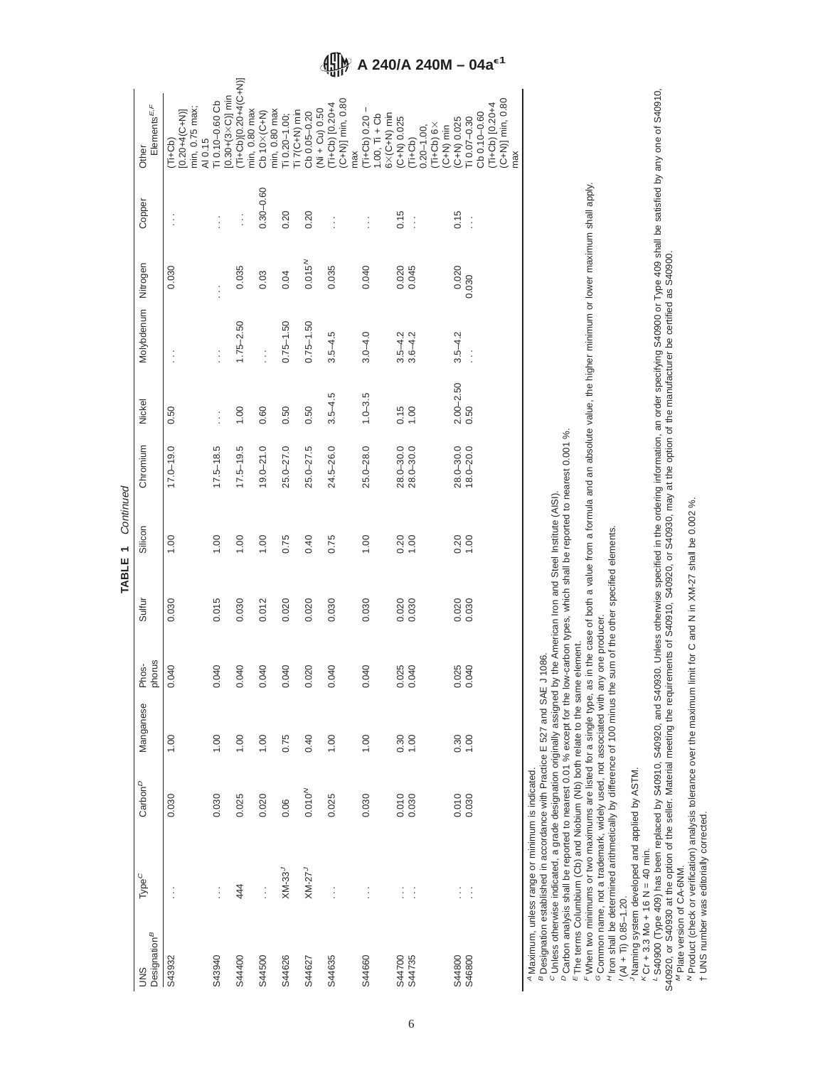|                                        |                                                                                                                                                                                                           |                     |              |                          | TABLE  | Continued<br>$\overline{ }$                          |                                |                       |                            |                |                  |                                                                                                              |
|----------------------------------------|-----------------------------------------------------------------------------------------------------------------------------------------------------------------------------------------------------------|---------------------|--------------|--------------------------|--------|------------------------------------------------------|--------------------------------|-----------------------|----------------------------|----------------|------------------|--------------------------------------------------------------------------------------------------------------|
| Designation <sup>B</sup><br><b>SND</b> | Type <sup>C</sup>                                                                                                                                                                                         | $\mathsf{Carbon}^D$ | Manganese    | phorus<br>Phos-          | Sulfur | Silicon                                              | Chromium                       | Nickel                | Molybdenum Nitrogen        |                | Copper           | Elements $^{E,F}$<br>Other                                                                                   |
| S43932                                 | $\vdots$                                                                                                                                                                                                  | 0.030               | 1.00         | 040<br>$\circ$           | 0.030  | 1.00                                                 | $17.0 - 19.0$                  | 0.50                  | $\vdots$                   | 0.030          | $\vdots$         | min, 0.75 max;<br>$0.20 + 4(C + N)$<br>$(Ti+CD)$                                                             |
| S43940                                 | $\vdots$                                                                                                                                                                                                  | 0.030               | 1.00         | 040<br>$\circ$           | 0.015  | 1.00                                                 | $17.5 - 18.5$                  | $\vdots$              | $\vdots$                   |                | $\vdots$         | $[0.30+(3\times C)]$ min<br>Ti 0.10-0.60 Cb<br>AI 0.15                                                       |
| S44400                                 | 44                                                                                                                                                                                                        | 0.025               | 1.00         | 040<br>$\circ$           | 0.030  | 1.00                                                 | $17.5 - 19.5$                  | 0.00                  | $1.75 - 2.50$              | 0.035          | $\vdots$         | $(T + Cb)[0.20 + 4(C + N)]$                                                                                  |
| S44500                                 | $\vdots$                                                                                                                                                                                                  | 0.020               | 1.00         | 040<br>$\circ$           | 0.012  | 1.00                                                 | $19.0 - 21.0$                  | 0.60                  | $\vdots$                   | 0.03           | $0.30 - 0.60$    | min, 0.80 max<br>Cb 10×(C+N)                                                                                 |
| S44626                                 | $XM-33J$                                                                                                                                                                                                  | 0.06                | 0.75         | 040<br>$\circ$           | 0.020  | 0.75                                                 | $25.0 - 27.0$                  | 0.50                  | $0.75 - 1.50$              | 0.04           | 0.20             | min, 0.80 max<br>$Ti 7(C+N)$ min<br>Ti 0.20-1.00;                                                            |
| S44627                                 | $XM-27J$                                                                                                                                                                                                  | $0.010^{N}$         | 0.40         | .020<br>$\circ$          | 0.020  | 0.40                                                 | $25.0 - 27.5$                  | 0.50                  | $0.75 - 1.50$              | $0.015^{N}$    | 0.20             | $(Ni + Cu) 0.50$<br>Cb 0.05-0.20                                                                             |
| S44635                                 | $\vdots$                                                                                                                                                                                                  | 0.025               | 0.00         | 040<br>$\circ$           | 0.030  | 0.75                                                 | $24.5 - 26.0$                  | $3.5 - 4.5$           | $3.5 - 4.5$                | 0.035          | $\vdots$         | $(C+N)$ ] min, 0.80<br>$(Ti+Cb)$ [0.20+4                                                                     |
| S44660                                 | $\vdots$                                                                                                                                                                                                  | 0.030               | 1.00         | 040<br>$\circ$           | 0.030  | 1.00                                                 | $25.0 - 28.0$                  | $1.0 - 3.5$           | $3.0 - 4.0$                | 0.040          | $\vdots$         | $(T + Cb) 0.20 -$<br>$1.00, T1 + Cb$<br>max                                                                  |
| S44735<br>S44700                       | $\vdots$<br>$\vdots$                                                                                                                                                                                      | 0.010<br>0.030      | 0.30<br>1.00 | .025<br>0.040<br>$\circ$ | 0.020  | 0.20                                                 | $28.0 - 30.0$<br>$28.0 - 30.0$ | $0.15$<br>1.00        | $3.5 - 4.2$<br>$3.6 - 4.2$ | 0.020<br>0.045 | 0.15<br>$\vdots$ | $6 \times (C+N)$ min<br>$(C+N)$ 0.025<br>$0.20 - 1.00$ ,<br>$(Ti+CD)$                                        |
| S44800<br>S46800                       | $\vdots$<br>$\vdots$                                                                                                                                                                                      | 0.010<br>0.030      | 0.30<br>1.00 | 0.025<br>0.040           | 0.020  | $0.20$<br>1.00                                       | $28.0 - 30.0$<br>$18.0 - 20.0$ | $2.00 - 2.50$<br>0.50 | $3.5 - 4.2$<br>$\vdots$    | 0.020<br>0.030 | 0.15<br>$\vdots$ | $(Ti+CD)$ [0.20+4<br>Cb 0.10-0.60<br>$T10.07 - 0.30$<br>$(C+N)$ 0.025<br>$(Ti+Cb)$ 6 $\times$<br>$(C+N)$ min |
|                                        |                                                                                                                                                                                                           |                     |              |                          |        |                                                      |                                |                       |                            |                |                  | $(C+N)$ ] min, 0.80<br>max                                                                                   |
|                                        | <sup>B</sup> Designation established in accordance with Practice E 527 and SAE<br>المصنعة معنوم تعطيهم مستحمل معامرته والمستحملة محملها الم<br><sup>A</sup> Maximum, unless range or minimum is indicated |                     | ا ام مصم     | J1086.                   |        | loll میں میں اس کے اس کو اس کو اس کو اس کو ایک میں ا |                                |                       |                            |                |                  |                                                                                                              |

<sup>c</sup> Unless otherwise indicated, a grade designation originally assigned by the American Iron and Steel Institute (AISI).<br><sup>*D* Carbon analysis shall be reported to nearest 0.01 % except for the low-carbon types, which shall</sup>

*∈* The terms Columbium (Cb) and Niobium (Nb) both relate to the same element.<br>*F* When two minimums or two maximums are listed for a single type, as in the case of both a value from a formula and an absolute value, the h / When two minimums or two maximums are listed for a single type, as in the case of both a value from a formula and an absolute value, the higher minimum or lower maximum shall apply.<br>© Common name, not a trademark, widel

<sup>G</sup> Common name, not a trademark, widely used, not associated with any one producer.<br><sup>H</sup> tron shall be determined arithmetically by difference of 100 minus the sum of the other specified elements.

 $(4( + 1))$  0.85-1.20.

V Naming system developed and applied by ASTM. Naming system developed and applied by ASTM.

 $K$  Cr + 3.3 Mo + 16 N = 40 min.

^ Cr + 3.3 Mo + 16 N = 40 min.<br>← S40900 (Type 409) has been replaced by S40910, S40920, and S40920, and S40930. Unless otherwise specified in the ordering information, an order specifying S40900 or Type 409 shall be satis S40920, or S40930 at the option of the seller. Material meeting the requirements of S40910, S40920, or S40930, may at the option of the manufacturer be certified as S40900. ' S40900 (Type 409) has been replaced by S40910, S40920, and S40930. Unless otherwise specified in the ordering information, an order specifying S40900 or Type 409 shall be satisfied by any one of S40910,<br>M Plate version Plate version of CA-6NM. N Product (check or verification) analysis tolerance over the maximum limit for C and N in XM-27 shall be 0.002 %.

† UNS number was editorially corrected.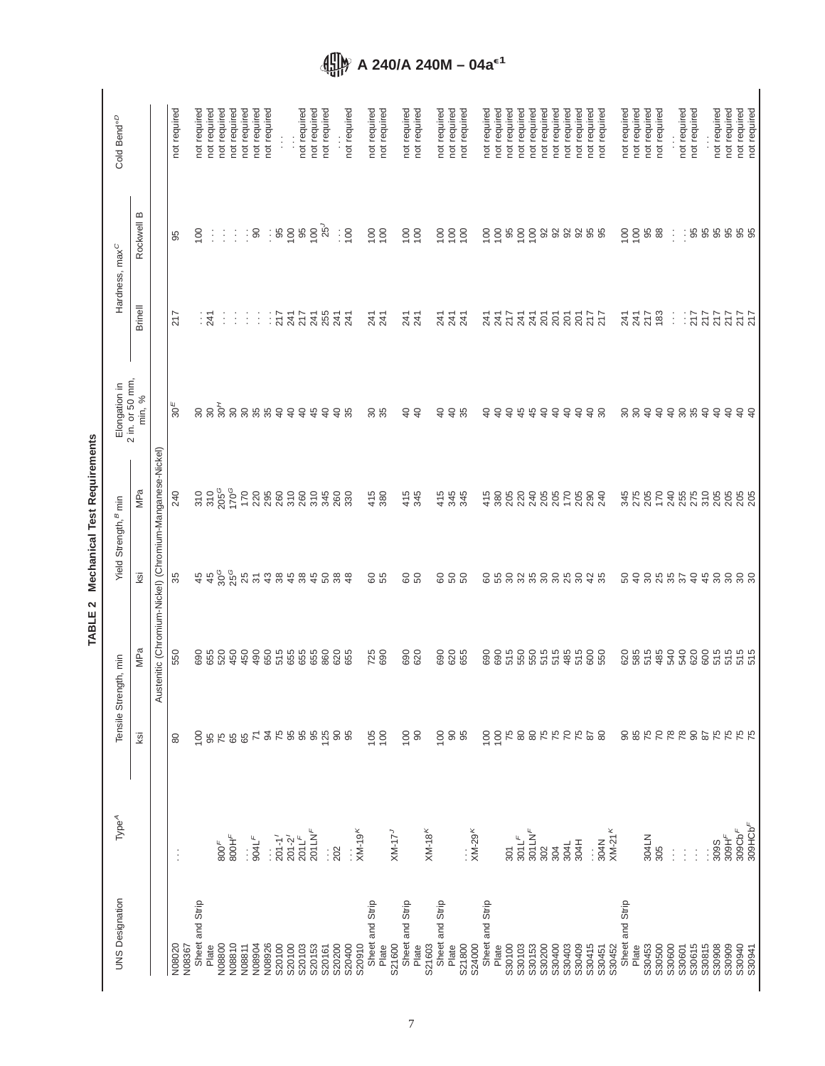| <b>UNS Designation</b>    | Type <sup>4</sup>             |                                                | Tensile Strength, min                                    |                           | Yield Strength, <sup>B</sup> min | Elongation in               |                                                                                                                                                                         | Hardness, max <sup>C</sup>                                                                                      | Cold Bend <sup>oD</sup>      |
|---------------------------|-------------------------------|------------------------------------------------|----------------------------------------------------------|---------------------------|----------------------------------|-----------------------------|-------------------------------------------------------------------------------------------------------------------------------------------------------------------------|-----------------------------------------------------------------------------------------------------------------|------------------------------|
|                           |                               | ΪŚλ                                            | MPa                                                      | ksi                       | MPa                              | $2$ in. or 50 mm,<br>min, % | <b>Brinell</b>                                                                                                                                                          | മ<br>Rockwell                                                                                                   |                              |
|                           |                               |                                                | Austenitic (Chromium-Nickel) (Chromium-Manganese-Nickel) |                           |                                  |                             |                                                                                                                                                                         |                                                                                                                 |                              |
| N08020                    | $\vdots$                      | 80                                             | 550                                                      | 35                        | 240                              | $30^{\mbox{\small\it E}}$   | 217                                                                                                                                                                     | 95                                                                                                              | not required                 |
| Sheet and Strip<br>N08367 |                               | $\overline{5}$                                 | 690                                                      |                           |                                  |                             |                                                                                                                                                                         | $\overline{5}$                                                                                                  | not required                 |
| Plate                     | 800 <sup>F</sup>              | 95                                             | 655<br>520<br>450                                        |                           |                                  | ននិង                        | $\frac{1}{2}$                                                                                                                                                           |                                                                                                                 | not required                 |
| N08800<br>N08810          | 800H <sup>F</sup>             | 75                                             |                                                          |                           |                                  | $\sqrt{30}$                 | ÷                                                                                                                                                                       | ÷,                                                                                                              | not required<br>not required |
| N08811                    |                               | 65                                             | 450                                                      |                           | 170                              |                             | ÷                                                                                                                                                                       | ÷                                                                                                               | not required                 |
| N08904                    | 904L $\epsilon$               | $\overline{r}$                                 | 490                                                      |                           |                                  | 8889                        | ÷<br>÷                                                                                                                                                                  | $\therefore$ $\circledcirc$                                                                                     | not required                 |
| N08926                    |                               | 34                                             | 650                                                      |                           | 226<br>295<br>260                |                             |                                                                                                                                                                         |                                                                                                                 | not required                 |
| S20100                    | $201 - 17$                    | $\begin{array}{c} 7.88888 \\ 7.88 \end{array}$ | 515                                                      |                           |                                  |                             | $\frac{1}{2}$ $\frac{1}{2}$ $\frac{1}{2}$ $\frac{1}{2}$ $\frac{1}{2}$ $\frac{1}{2}$ $\frac{1}{2}$ $\frac{1}{2}$ $\frac{1}{2}$ $\frac{1}{2}$ $\frac{1}{2}$ $\frac{1}{2}$ | $\frac{1}{2}$ $\frac{1}{2}$ $\frac{1}{2}$ $\frac{1}{2}$ $\frac{1}{2}$ $\frac{1}{2}$ $\frac{1}{2}$ $\frac{1}{2}$ |                              |
| S20100<br>S20103          | $201 - 2^{1}$<br>$201LF$      |                                                |                                                          |                           |                                  |                             |                                                                                                                                                                         |                                                                                                                 |                              |
| S20153                    | 201LN <sup>F</sup>            |                                                | 555<br>655<br>668                                        |                           | 788788                           | 444                         |                                                                                                                                                                         |                                                                                                                 | not required<br>not required |
| S20161                    |                               |                                                |                                                          |                           |                                  | $\overline{40}$             |                                                                                                                                                                         |                                                                                                                 | not required                 |
| S20200                    | 202                           |                                                |                                                          |                           |                                  | $\Theta$                    |                                                                                                                                                                         | ĵ.                                                                                                              |                              |
| S20400                    | $x^2 + 19^k$                  | 95                                             | 655                                                      |                           | 330                              | 35                          | 241                                                                                                                                                                     | 100                                                                                                             | not required                 |
| Sheet and Strip<br>S20910 |                               |                                                |                                                          |                           | 415                              |                             |                                                                                                                                                                         | 100                                                                                                             |                              |
| Plate                     |                               | 106                                            | 725<br>690                                               | 60<br>55                  | 380                              | 86<br>98                    | 241<br>241                                                                                                                                                              | 100                                                                                                             | not required<br>not required |
| S21600                    | $XM-17J$                      |                                                |                                                          |                           |                                  |                             |                                                                                                                                                                         |                                                                                                                 |                              |
| Sheet and Strip           |                               | 100                                            | 690                                                      | 88                        | $415$<br>345                     | 9                           | 241                                                                                                                                                                     | 100                                                                                                             | not required                 |
| Plate                     |                               | $\infty$                                       | 620                                                      |                           |                                  | $\theta$                    | 241                                                                                                                                                                     | 100                                                                                                             | not required                 |
| Sheet and Strip<br>S21603 | $XM-18K$                      | 100                                            |                                                          |                           | 415                              | 9                           |                                                                                                                                                                         |                                                                                                                 |                              |
| Plate                     |                               |                                                | 690<br>625<br>655                                        | 888                       | 345                              | ą                           | न न न<br>स स स                                                                                                                                                          | $\frac{001}{000}$                                                                                               | not required<br>not required |
| S21800                    |                               | 8 se                                           |                                                          |                           | 345                              | 35                          |                                                                                                                                                                         | $\frac{001}{2}$                                                                                                 | not required                 |
| S24000                    | $XW-29^{K}$                   |                                                |                                                          |                           |                                  |                             |                                                                                                                                                                         |                                                                                                                 |                              |
| Sheet and Strip           |                               | $\frac{00}{100}$                               | 690<br>690                                               |                           | 415<br>380                       | $\theta$                    | 241<br>241                                                                                                                                                              |                                                                                                                 | not required                 |
| Plate                     |                               |                                                |                                                          |                           |                                  | $\overline{a}$              |                                                                                                                                                                         |                                                                                                                 | not required                 |
| S30100<br>S30103          | $301 LF$<br>301               | 75<br>$\rm ^{\rm 8}$                           |                                                          |                           |                                  | $\overline{a}$<br>45        |                                                                                                                                                                         |                                                                                                                 | not required<br>not required |
| S30153                    | 301 L N <sup>F</sup>          | $\rm 80$                                       | 515<br>550<br>550                                        |                           |                                  | 45                          |                                                                                                                                                                         | <b>SS</b> <u>a</u> SS                                                                                           | not required                 |
| S30200                    | 302                           | 75                                             | 515                                                      |                           |                                  | $\overline{a}$              |                                                                                                                                                                         |                                                                                                                 | not required                 |
| S30400                    | 304                           | 75                                             | 515                                                      |                           |                                  | $\overline{a}$              |                                                                                                                                                                         |                                                                                                                 | not required                 |
| S30403                    | 304L                          |                                                |                                                          |                           |                                  | $\triangleq$                |                                                                                                                                                                         |                                                                                                                 | not required                 |
| S30409<br>S30415          | 304H                          | 7580                                           |                                                          |                           |                                  | $\triangleq$                |                                                                                                                                                                         | 222255                                                                                                          | not required<br>not required |
| S30451                    | 304N                          |                                                | 485<br>500<br>550                                        | 8 5 8 9 5 8 9 8 9 9 9 9   | 888882888                        | 48                          | <u>ដូវ។ ខ្ញួនទីក្នុង</u>                                                                                                                                                |                                                                                                                 | not required                 |
| S30452                    | $XM-21K$                      |                                                |                                                          |                           |                                  |                             |                                                                                                                                                                         |                                                                                                                 |                              |
| Sheet and Strip           |                               | <b>9850</b>                                    | 620                                                      |                           | 3585                             | ೫ ಜ                         | 241                                                                                                                                                                     | 2288                                                                                                            | not required                 |
| Plate                     |                               |                                                | 585                                                      |                           |                                  |                             | $241$<br>$217$                                                                                                                                                          |                                                                                                                 | not required                 |
| S30453<br>S30500          | 304LN<br>305                  |                                                | 515<br>485                                               |                           |                                  | $\overline{4}$<br>$\theta$  | 183                                                                                                                                                                     |                                                                                                                 | not required<br>not required |
| S30600                    |                               | $78$                                           | 540                                                      |                           |                                  | $\overline{4}$              | ÷                                                                                                                                                                       | ÷                                                                                                               |                              |
| S30601                    | $\vdots$                      | $\approx$                                      |                                                          |                           |                                  | œ                           |                                                                                                                                                                         |                                                                                                                 | not required                 |
| S30615                    |                               | $\infty$                                       | 540<br>620                                               |                           |                                  | 35                          | $\frac{1}{2}$                                                                                                                                                           |                                                                                                                 | not required                 |
| S30815                    |                               | $87$                                           | 600                                                      |                           | 25572585                         |                             | 217                                                                                                                                                                     |                                                                                                                 |                              |
| S30908                    | 309S                          | 75                                             | 515                                                      |                           |                                  | $\overline{a}$              | $217$<br>$217$                                                                                                                                                          |                                                                                                                 | not required                 |
| S30909                    | 309H <sup>F</sup>             | 75                                             | 515                                                      |                           |                                  | $\theta$                    |                                                                                                                                                                         |                                                                                                                 | not required                 |
| S30940<br>S30941          | 309HCbF<br>$309\mathrm{Cb}^F$ | <b>75</b>                                      | 515<br>515                                               | 5 3 5 5 5 5 5 4 5 6 9 6 9 | 205                              | 40                          | 217<br>217                                                                                                                                                              |                                                                                                                 | not required<br>not required |
|                           |                               |                                                |                                                          |                           |                                  |                             |                                                                                                                                                                         |                                                                                                                 |                              |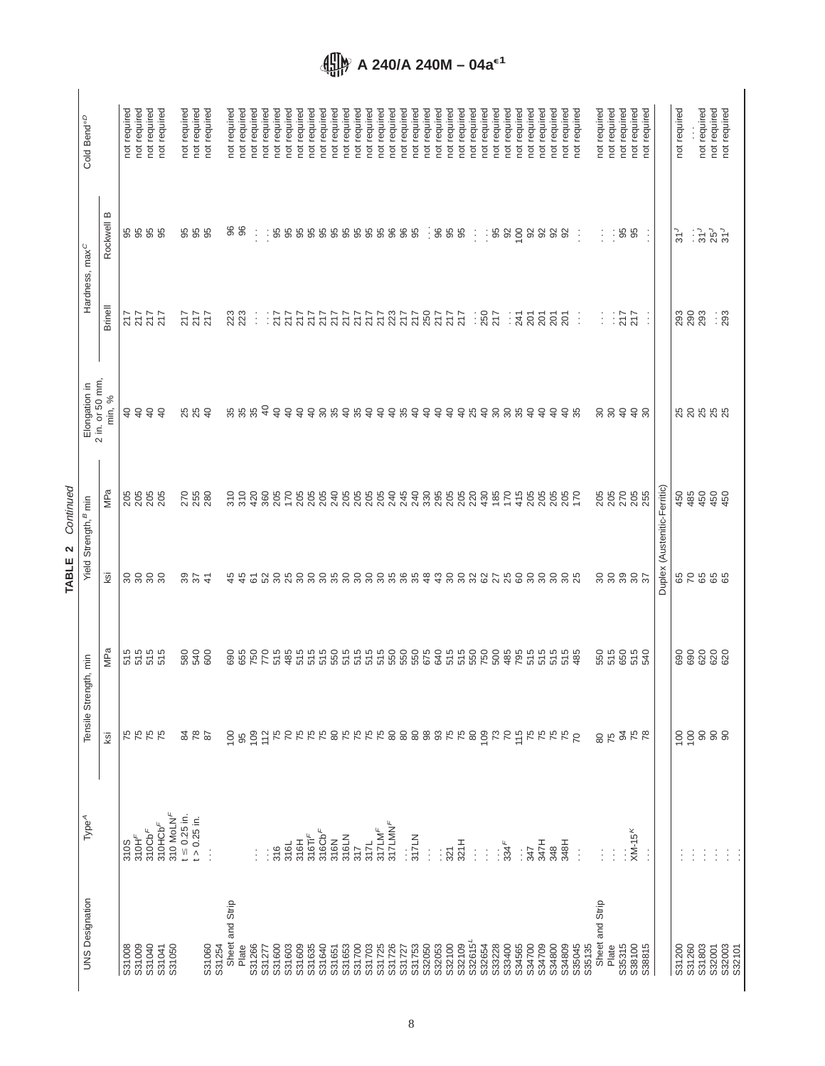|                        |                                    |                        |                                                                                                                                                                                                                                                                                                                | ᄾᅌ                                | <b>CONNINGS</b>                  |                                    |                    |                                |                                     |
|------------------------|------------------------------------|------------------------|----------------------------------------------------------------------------------------------------------------------------------------------------------------------------------------------------------------------------------------------------------------------------------------------------------------|-----------------------------------|----------------------------------|------------------------------------|--------------------|--------------------------------|-------------------------------------|
| <b>UNS Designation</b> | Type <sup>A</sup>                  | Tensile Strength, min  |                                                                                                                                                                                                                                                                                                                |                                   | Yield Strength, <sup>B</sup> min | $2$ in. or 50 mm,<br>Elongation in |                    | Hardness, max <sup>C</sup>     | Cold Bend <sup>o</sup> <sup>D</sup> |
|                        |                                    | ķġ                     | MPa                                                                                                                                                                                                                                                                                                            | kä                                | MPa                              | min, %                             | Brinell            | ≃<br>Rockwell                  |                                     |
| S31008                 | 310S                               | 75                     |                                                                                                                                                                                                                                                                                                                |                                   |                                  | $\overline{a}$                     | 217                |                                | not required                        |
| S31009                 | 310H <sup>F</sup>                  | 75                     | 55555<br>5555                                                                                                                                                                                                                                                                                                  | <b>នននន</b>                       | 88888                            | $\overline{4}$                     | 217<br>217<br>217  | 5555                           | not required                        |
| S31040                 | 310Cb <sup>F</sup>                 | 75                     |                                                                                                                                                                                                                                                                                                                |                                   |                                  | 40                                 |                    |                                | not required                        |
| S31041                 | $310$ HCb <sup>F</sup>             |                        |                                                                                                                                                                                                                                                                                                                |                                   |                                  |                                    |                    |                                | not required                        |
| S31050                 | 310 MoLNF                          |                        |                                                                                                                                                                                                                                                                                                                |                                   |                                  |                                    |                    |                                |                                     |
|                        | $t \le 0.25$ in.<br>$t > 0.25$ in. | $\approx$<br>34        | 88<br>8<br>8<br>8<br>8<br>8<br>9                                                                                                                                                                                                                                                                               | 3821                              | 270                              | <b>25</b>                          | 217<br>217         | 95                             | not required<br>not required        |
| S31060                 |                                    | 5                      |                                                                                                                                                                                                                                                                                                                |                                   | 280                              | $\overline{a}$                     | 217                | 95                             | not required                        |
| S31254                 | $\vdots$                           |                        |                                                                                                                                                                                                                                                                                                                |                                   |                                  |                                    |                    |                                |                                     |
| Sheet and Strip        |                                    | $\overline{100}$       |                                                                                                                                                                                                                                                                                                                |                                   |                                  |                                    | 223                |                                | required<br>not                     |
| Plate                  |                                    |                        |                                                                                                                                                                                                                                                                                                                |                                   | 3789                             | 888                                | 223                | 96<br>96                       | required<br>not                     |
| S31266                 |                                    | 95<br>109              |                                                                                                                                                                                                                                                                                                                |                                   |                                  |                                    |                    | $\ddot{\cdot}$                 | not required                        |
| S31277                 |                                    | 112                    |                                                                                                                                                                                                                                                                                                                |                                   |                                  | $\overline{4}$                     | ÷                  |                                | required<br>not                     |
| S31600                 | 316                                | 75                     |                                                                                                                                                                                                                                                                                                                |                                   |                                  | $\overline{4}$                     | $\frac{1}{217}$    |                                | required<br>not <sub>1</sub>        |
| S31603                 | 316L                               | $\overline{z}$         | 88800588                                                                                                                                                                                                                                                                                                       |                                   |                                  | $\overline{4}$                     | 217                |                                | required<br>not                     |
| S31609                 | 316H                               | 75                     |                                                                                                                                                                                                                                                                                                                |                                   |                                  | $\overline{4}$                     | 217                |                                | required<br>not                     |
| S31635                 | $316T$ F                           | 75                     |                                                                                                                                                                                                                                                                                                                |                                   |                                  |                                    |                    |                                | required<br>not                     |
| S31640                 | 316Cb <sup>F</sup>                 | 75                     |                                                                                                                                                                                                                                                                                                                |                                   |                                  |                                    |                    |                                | required<br>not                     |
| S31651                 | 316N                               | $\pmb{\mathbb{S}}$     | 555<br>555<br>550                                                                                                                                                                                                                                                                                              |                                   |                                  |                                    |                    |                                | not required                        |
| S31653                 | 316LN                              | 75                     |                                                                                                                                                                                                                                                                                                                |                                   |                                  | 788998                             | 555555             |                                | required<br>not                     |
| S31700                 | 317                                | 75                     |                                                                                                                                                                                                                                                                                                                |                                   |                                  |                                    |                    |                                | not required                        |
| S31703                 | 317L                               | 75                     |                                                                                                                                                                                                                                                                                                                |                                   |                                  | $\triangleq$                       |                    |                                | required<br>$\overline{e}$          |
| S31725                 | 317LM <sup>F</sup>                 |                        |                                                                                                                                                                                                                                                                                                                |                                   |                                  | $\overline{4}$                     | 217                |                                | not required                        |
| S31726                 | 317LMN <sup>F</sup>                |                        |                                                                                                                                                                                                                                                                                                                |                                   |                                  |                                    |                    |                                | required<br>not                     |
| S31727                 |                                    |                        |                                                                                                                                                                                                                                                                                                                |                                   |                                  |                                    |                    |                                | required<br>not                     |
| S31753                 | 317LN                              |                        |                                                                                                                                                                                                                                                                                                                |                                   |                                  | 3833                               |                    |                                | not required                        |
| S32050                 | $\vdots$                           | $5.88888$              |                                                                                                                                                                                                                                                                                                                |                                   |                                  |                                    | 37778777           | ÷                              | not required                        |
| S32053                 | $\frac{1}{3}$                      |                        |                                                                                                                                                                                                                                                                                                                |                                   |                                  | $\triangleq$                       |                    | <b>955</b>                     | not required                        |
| S32100                 |                                    | 75                     |                                                                                                                                                                                                                                                                                                                |                                   |                                  |                                    |                    |                                | required<br>not                     |
| S32109                 | 321H                               | 75                     |                                                                                                                                                                                                                                                                                                                |                                   |                                  |                                    |                    |                                | not required                        |
| S32615 <sup>L</sup>    | $\vdots$                           | $\frac{80}{109}$       |                                                                                                                                                                                                                                                                                                                |                                   |                                  |                                    | : 80<br>250<br>217 | ÷                              | required<br>not                     |
| S33228<br>S32654       | ÷                                  | 73                     |                                                                                                                                                                                                                                                                                                                |                                   |                                  |                                    |                    | : \$ \$                        | required<br>not                     |
| S33400                 | 334 <sup>F</sup>                   |                        |                                                                                                                                                                                                                                                                                                                |                                   |                                  |                                    |                    |                                | not required<br>required            |
| S34565                 |                                    | $\overline{70}$<br>115 | $\begin{array}{c} 6\\ 4\\ 6\\ 6\\ 7\\ 6\\ 8\\ 9\\ 1\\ 6\\ 9\\ 1\\ 6\\ 9\\ 1\\ 6\\ 1\\ 6\\ 1\\ 6\\ 1\\ 7\\ 8\\ 9\\ 1\\ 8\\ 9\\ 1\\ 9\\ 1\\ 9\\ 1\\ 9\\ 1\\ 9\\ 1\\ 9\\ 1\\ 9\\ 1\\ 9\\ 1\\ 9\\ 1\\ 9\\ 1\\ 9\\ 1\\ 9\\ 1\\ 9\\ 1\\ 9\\ 1\\ 9\\ 1\\ 9\\ 1\\ 9\\ 1\\ 9\\ 1\\ 9\\ 1\\ 9\\ 1\\ 9\\ 1\\ 9\\ 1\\ 9\\$ | 445688888888888888844888886888888 |                                  | $778788887$                        | ं हैं है           | 100                            | not required<br>not                 |
| S34700                 | 347                                | 75                     | 515                                                                                                                                                                                                                                                                                                            |                                   |                                  |                                    |                    | 92                             | required<br>not                     |
| S34709                 | 347H                               | 75                     | 515                                                                                                                                                                                                                                                                                                            |                                   |                                  | $\triangleleft$                    | 201                | 92                             | not required                        |
| S34800                 | 348                                | 75                     | 515                                                                                                                                                                                                                                                                                                            |                                   |                                  |                                    | 201                | 92<br>92                       | required<br>not                     |
| S34809                 | 348H                               | 75                     | 515                                                                                                                                                                                                                                                                                                            |                                   | 205<br>205<br>170                | 43.8                               | 201                |                                | required<br>not                     |
| S35045                 | ÷                                  |                        | 485                                                                                                                                                                                                                                                                                                            |                                   |                                  |                                    | ÷                  | ÷                              | not required                        |
| S35135                 |                                    |                        |                                                                                                                                                                                                                                                                                                                |                                   |                                  |                                    |                    |                                |                                     |
| Sheet and Strip        |                                    | 80<br>75               | 550                                                                                                                                                                                                                                                                                                            | ននននន                             | 205                              | 88339                              | ÷                  | ÷                              | not required                        |
| Plate                  | İ                                  |                        | 515                                                                                                                                                                                                                                                                                                            |                                   |                                  |                                    | $\frac{1}{2}$      | ÷                              | not required                        |
| S35315                 |                                    | $\mathfrak{g}$         | 650                                                                                                                                                                                                                                                                                                            |                                   | 270                              |                                    |                    | 95                             | not required                        |
| S38100                 | $XM-15K$                           | <b>75</b><br>78        | 515<br>540                                                                                                                                                                                                                                                                                                     |                                   | 205<br>255                       |                                    | 217                | 95                             | required<br>not                     |
| S38815                 | $\vdots$                           |                        |                                                                                                                                                                                                                                                                                                                |                                   |                                  |                                    | ÷                  | ÷                              | required<br>not                     |
|                        |                                    |                        |                                                                                                                                                                                                                                                                                                                | Duplex (Austenitic-Ferritic       |                                  |                                    |                    |                                |                                     |
| S31200                 |                                    | $\frac{5}{6}$          |                                                                                                                                                                                                                                                                                                                |                                   |                                  |                                    |                    | 31 <sup>J</sup>                | not required                        |
| S31260                 |                                    |                        |                                                                                                                                                                                                                                                                                                                |                                   |                                  |                                    | 290<br>290         |                                |                                     |
| S31803                 |                                    |                        |                                                                                                                                                                                                                                                                                                                |                                   |                                  |                                    |                    |                                | not required<br>not required        |
| S32001                 |                                    | ន ន ន                  | <b>88888</b>                                                                                                                                                                                                                                                                                                   | 82888                             | \$44444                          | <b>22 22 32 33</b>                 |                    | $\frac{15}{25}$ $\frac{1}{27}$ |                                     |
| S32003                 |                                    |                        |                                                                                                                                                                                                                                                                                                                |                                   |                                  |                                    | $\frac{1}{2}$      |                                | not required                        |
| S32101                 |                                    |                        |                                                                                                                                                                                                                                                                                                                |                                   |                                  |                                    |                    |                                |                                     |

TABLE 2 Continued **TABLE 2** Continued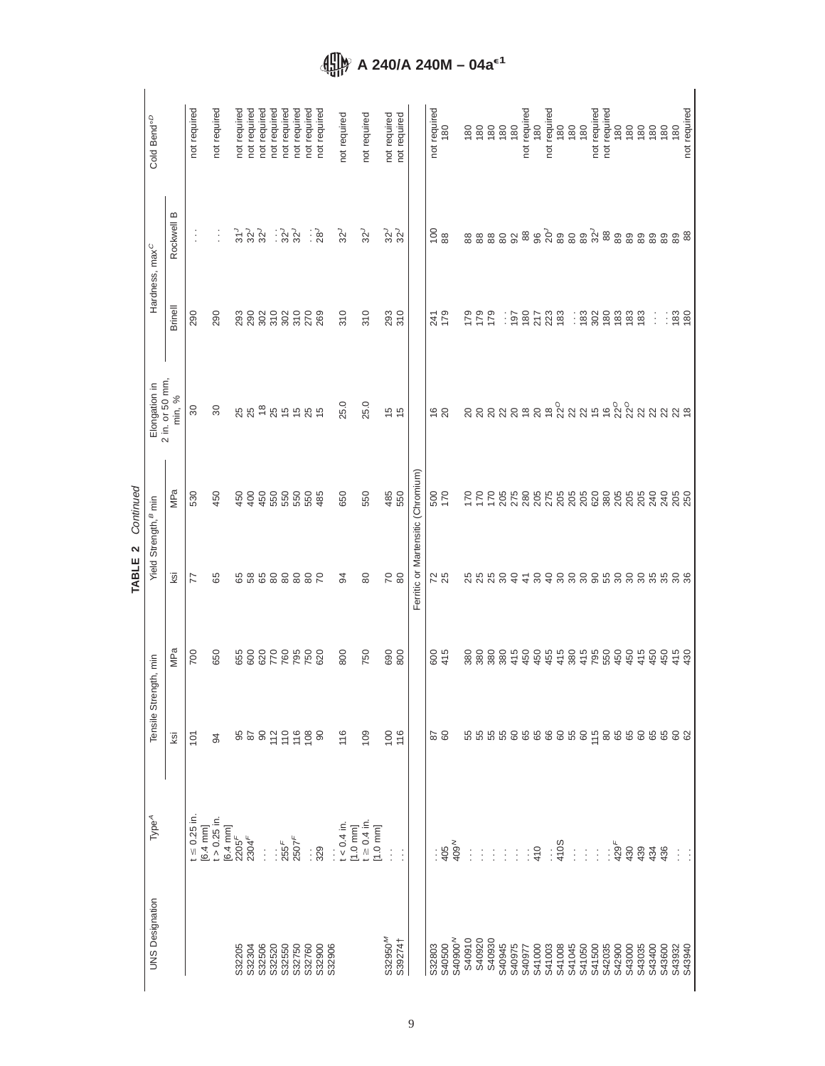|                        |                              |                                     |                       | $\mathbf{\Omega}$<br>TABLE      | Continued                                      |                             |                                                                       |                            |                         |
|------------------------|------------------------------|-------------------------------------|-----------------------|---------------------------------|------------------------------------------------|-----------------------------|-----------------------------------------------------------------------|----------------------------|-------------------------|
| <b>UNS Designation</b> | Type <sup>A</sup>            |                                     | Tensile Strength, min |                                 | Yield Strength, <sup>B</sup> min               | Elongation in               |                                                                       | Hardness, max <sup>C</sup> | Cold Bend <sup>oD</sup> |
|                        |                              | <u>isy</u>                          | MPa                   | ksi                             | MPa                                            | $2$ in. or 50 mm,<br>min, % | <b>Brinell</b>                                                        | $\mathbf{m}$<br>Rockwell   |                         |
|                        | $t \le 0.25$ in.<br>$6.4$ mm | 101                                 | 700                   | 77                              | 530                                            | 30                          | 290                                                                   |                            | not required            |
|                        | $t > 0.25$ in.<br>6.4 mm]    | 34                                  | 650                   | 65                              | 450                                            | $30^{\circ}$                | 290                                                                   | Ì                          | not required            |
|                        | $2205^F$                     |                                     |                       |                                 | 450                                            |                             |                                                                       |                            | not required            |
| S32205<br>S32304       | $2304$ <sup>F</sup>          | 87<br>87                            | 655<br>600            |                                 | 400                                            |                             | 293<br>290                                                            | 3 3 3<br>2 3 3             | not required            |
| S32506                 | $\vdots$                     | $\overline{6}$                      |                       |                                 | 450                                            |                             |                                                                       |                            | not required            |
| S32520                 |                              | 112                                 |                       |                                 |                                                |                             |                                                                       |                            | not required            |
| S32550                 | $.55$ F                      |                                     |                       |                                 |                                                |                             |                                                                       |                            | not required            |
| S32750                 | 2507 <sup>1</sup>            | 108                                 | 8208528               | 68888888                        | 550<br>550<br>550                              | 888886886                   |                                                                       | ့် ဗွဲ ဗွဲ                 | not required            |
| S32760                 | $\vdots$                     |                                     |                       |                                 | 550                                            |                             |                                                                       |                            | not required            |
| S32900<br>S32906       | 329                          | $\infty$                            |                       |                                 | 485                                            |                             |                                                                       | ု့ နိ                      | not required            |
|                        | $= 0.4$ in.                  | 116                                 | 800                   | 94                              | 650                                            | 25.0                        | 310                                                                   | 32 <sup>J</sup>            | not required            |
|                        | $1.0$ mm $]$                 |                                     |                       |                                 |                                                |                             |                                                                       |                            |                         |
|                        | $t \ge 0.4$ in.              | 109                                 | 750                   | 80                              | 550                                            | 25.0                        | 310                                                                   | 32 <sup>J</sup>            | not required            |
|                        | $1.0$ mm $]$                 |                                     |                       |                                 |                                                |                             |                                                                       |                            |                         |
| S32950 <sup>M</sup>    |                              | $\frac{30}{10}$                     | 690<br>800            | <b>P</b> 8                      | 485<br>550                                     | 5 to                        | 293<br>310                                                            | 32<br>32                   | not required            |
| S39274                 | $\vdots$                     |                                     |                       |                                 |                                                |                             |                                                                       |                            | not required            |
|                        |                              |                                     |                       |                                 | Ferritic or Martensitic (Chromium)             |                             |                                                                       |                            |                         |
| S32803                 |                              |                                     | 600                   |                                 | 500                                            |                             | 241                                                                   | 100                        | not required            |
| S40500                 | $\frac{1}{405}$              | 87<br>60                            | 415                   | 72g                             |                                                | $\frac{6}{20}$              | 179                                                                   | 88                         | 180                     |
| S40900 <sup>N</sup>    | 409 <sup>N</sup>             |                                     |                       |                                 |                                                |                             |                                                                       |                            |                         |
| S40910                 | $\ddot{\cdot}$               |                                     |                       |                                 |                                                |                             | 179                                                                   |                            |                         |
| S40920                 | $\vdots$                     | ន ន ន ន ន ន ន ន ន ន ន ទ ដ ន ន ន ន ន | 38<br>38<br>38        | 55585                           | 555                                            | ៜៜៜៜៜឨ៓ៜ៓ៜ៓៓៓ៜឨ៓៓ៜឨ៓        | 179                                                                   | 88888                      |                         |
| S40930                 | $\vdots$                     |                                     |                       |                                 |                                                |                             | 179                                                                   |                            |                         |
| S40945                 | $\vdots$                     |                                     | 380                   |                                 |                                                |                             | ÷                                                                     |                            | 180                     |
| S40975                 | $\vdots$                     |                                     | 415                   |                                 |                                                |                             | 197                                                                   |                            | 180                     |
| S40977                 |                              |                                     | 450                   |                                 |                                                |                             | $180$<br>$217$                                                        |                            | not required            |
| S41000                 | 410                          |                                     | 450                   |                                 |                                                |                             |                                                                       |                            | 180                     |
| S41003                 |                              |                                     | 455<br>415            |                                 |                                                |                             | <b>223</b><br>183                                                     |                            | not required            |
| S41008                 | $\frac{1}{4105}$             |                                     |                       |                                 |                                                |                             |                                                                       |                            | 180                     |
| S41045                 | $\vdots$                     |                                     |                       |                                 |                                                |                             |                                                                       |                            | $\frac{180}{180}$       |
| S41050                 | ÷                            |                                     | 885<br>847<br>850     |                                 |                                                |                             | $\frac{1}{2}$ $\frac{1}{2}$ $\frac{1}{2}$ $\frac{1}{2}$ $\frac{1}{2}$ |                            |                         |
| S41500                 | $\vdots$                     |                                     |                       |                                 |                                                |                             |                                                                       |                            | not required            |
| S42035                 |                              |                                     |                       |                                 |                                                |                             | 180                                                                   |                            | not required            |
| S42900                 | $\frac{1}{429}$ F            |                                     | 450                   |                                 |                                                |                             | 8380                                                                  |                            | 180                     |
| S43000                 | 430                          |                                     | 450                   |                                 |                                                |                             |                                                                       |                            | 180                     |
| S43035                 | 439                          |                                     | 415                   |                                 | ន្ត្រី និន្ទុ ដូន និន្ទុ និន្ទុ និន្ទុ និង និង |                             |                                                                       | 88828883888888             | 180                     |
| S43400                 | 434                          | 65<br>65                            | 450                   |                                 |                                                |                             | ÷                                                                     |                            | 180                     |
| S43600                 | 436                          |                                     | 450                   | 5 2 3 3 3 3 3 3 3 3 3 3 4 5 6 7 | 240                                            |                             |                                                                       |                            | 180                     |
| S43932                 |                              | 88                                  | 415<br>430            |                                 | 205<br>250                                     | 22                          | $\frac{1}{2}$ $\frac{1}{2}$ $\frac{1}{2}$                             | <b>88</b>                  | 180                     |
| S43940                 |                              |                                     |                       |                                 |                                                |                             |                                                                       |                            | not required            |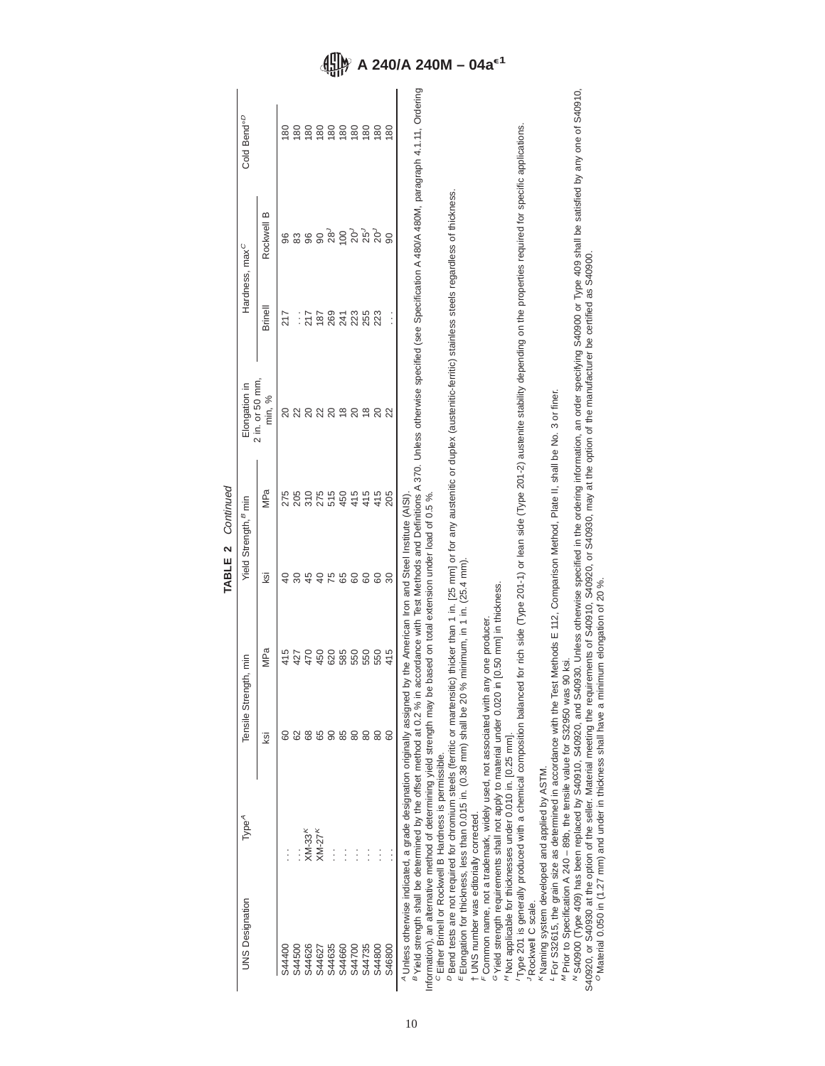|                                                               |                                                                                                                                                                                                                                                                                                                                                                                                                                                                                                                                                                                                                                                                                                                                                                                                                                                                                                                                                                                                                                                                                                                                                                                                           |               |                                                    | TABLE 2                                         | Continued                        |                                                                                                                                            |                |                            |                                     |
|---------------------------------------------------------------|-----------------------------------------------------------------------------------------------------------------------------------------------------------------------------------------------------------------------------------------------------------------------------------------------------------------------------------------------------------------------------------------------------------------------------------------------------------------------------------------------------------------------------------------------------------------------------------------------------------------------------------------------------------------------------------------------------------------------------------------------------------------------------------------------------------------------------------------------------------------------------------------------------------------------------------------------------------------------------------------------------------------------------------------------------------------------------------------------------------------------------------------------------------------------------------------------------------|---------------|----------------------------------------------------|-------------------------------------------------|----------------------------------|--------------------------------------------------------------------------------------------------------------------------------------------|----------------|----------------------------|-------------------------------------|
| <b>UNS Designation</b>                                        | Type <sup>4</sup>                                                                                                                                                                                                                                                                                                                                                                                                                                                                                                                                                                                                                                                                                                                                                                                                                                                                                                                                                                                                                                                                                                                                                                                         | Tensile Strer | ngth, min                                          |                                                 | Yield Strength, <sup>B</sup> min | Elongation in                                                                                                                              |                | Hardness, max <sup>C</sup> | Cold Bend <sup>o</sup> <sup>D</sup> |
|                                                               |                                                                                                                                                                                                                                                                                                                                                                                                                                                                                                                                                                                                                                                                                                                                                                                                                                                                                                                                                                                                                                                                                                                                                                                                           | ksi           | MPa                                                | ksi                                             | MPa                              | $2$ in. or 50 mm,<br>min, %                                                                                                                | <b>Brinell</b> | Rockwell B                 |                                     |
| 844400                                                        |                                                                                                                                                                                                                                                                                                                                                                                                                                                                                                                                                                                                                                                                                                                                                                                                                                                                                                                                                                                                                                                                                                                                                                                                           | 8             | 415                                                | 9                                               | 275                              |                                                                                                                                            | 217            | 96                         | 180                                 |
| S44500                                                        |                                                                                                                                                                                                                                                                                                                                                                                                                                                                                                                                                                                                                                                                                                                                                                                                                                                                                                                                                                                                                                                                                                                                                                                                           |               | 427                                                | 30                                              | 205                              |                                                                                                                                            | İ              | 83                         | $\frac{80}{2}$                      |
| S44626                                                        | $XM-33K$                                                                                                                                                                                                                                                                                                                                                                                                                                                                                                                                                                                                                                                                                                                                                                                                                                                                                                                                                                                                                                                                                                                                                                                                  | ႙             | 470                                                | 45                                              | 310                              |                                                                                                                                            | 217            | 96                         | $\frac{80}{2}$                      |
| S44627                                                        | $XM-27K$                                                                                                                                                                                                                                                                                                                                                                                                                                                                                                                                                                                                                                                                                                                                                                                                                                                                                                                                                                                                                                                                                                                                                                                                  | යි            | 450                                                | $\overline{4}$                                  | 275                              |                                                                                                                                            | 187            | 8                          | 180                                 |
| S44635                                                        |                                                                                                                                                                                                                                                                                                                                                                                                                                                                                                                                                                                                                                                                                                                                                                                                                                                                                                                                                                                                                                                                                                                                                                                                           | 8             | 620                                                |                                                 | 515                              | <b>232328888</b>                                                                                                                           | 269            | 28 <sup>J</sup>            | 180                                 |
| S44660                                                        |                                                                                                                                                                                                                                                                                                                                                                                                                                                                                                                                                                                                                                                                                                                                                                                                                                                                                                                                                                                                                                                                                                                                                                                                           | 85            | 585                                                | 75                                              | 450                              |                                                                                                                                            | 241            | 100                        | 180                                 |
| S44700                                                        |                                                                                                                                                                                                                                                                                                                                                                                                                                                                                                                                                                                                                                                                                                                                                                                                                                                                                                                                                                                                                                                                                                                                                                                                           | 80            | 550                                                | 60                                              | 415                              |                                                                                                                                            |                |                            | 180                                 |
| S44735                                                        |                                                                                                                                                                                                                                                                                                                                                                                                                                                                                                                                                                                                                                                                                                                                                                                                                                                                                                                                                                                                                                                                                                                                                                                                           | 80            | 550                                                | 60                                              | 415                              |                                                                                                                                            | 223<br>255     | 2020<br>2020               | 180                                 |
| S44800                                                        |                                                                                                                                                                                                                                                                                                                                                                                                                                                                                                                                                                                                                                                                                                                                                                                                                                                                                                                                                                                                                                                                                                                                                                                                           | 80            | 550                                                | 80                                              | 415                              | $\overline{c}$                                                                                                                             | 223            |                            | 180                                 |
| S46800                                                        |                                                                                                                                                                                                                                                                                                                                                                                                                                                                                                                                                                                                                                                                                                                                                                                                                                                                                                                                                                                                                                                                                                                                                                                                           | 8             | 415                                                | 80                                              | 205                              | 22                                                                                                                                         |                |                            | $\frac{80}{2}$                      |
| t UNS number was editorially corrected<br>/ Rockwell C scale. | Type 201 is generally produced with a chemical composition balanced for rich side (Type 201-1) or lean side (Type 201-2) austenite stability depending on the properties required for specific applications.<br>P Bend tests are not required for chromium steels (ferritic or martensitic) thicker than 1 in. [25 mm] or for any austenitic or duplex (austenitic-ferritic) stainless steels regardless of thickness.<br>Information), an alternative method of determining yield strength may be based on total extension under load of 0.5 %.<br><sup>G</sup> Yield strength requirements shall not apply to material under 0.020 in [0.50 mm] in thickness.<br><sup>A</sup> Unless otherwise indicated, a grade designation originally assigned<br><sup>B</sup> Yield strength shall be determined by the offset method at 0.2 % in<br><sup>E</sup> Elongation for thickness, less than 0.015 in. (0.38 mm) shall be 20<br>Common name, not a trademark, widely used, not associated with<br><sup>H</sup> Not applicable for thicknesses under 0.010 in. [0.25 mm]<br><sup>C</sup> Either Brinell or Rockwell B Hardness is permissible.<br><sup>K</sup> Naming system developed and applied by ASTM. |               | % minimum, in 1 in. (25.4 mm)<br>any one producer. | by the American Iron and Steel Institute (AISI) |                                  | accordance with Test Methods and Definitions A 370. Unless otherwise specified (see Specification A 480/A 480M, paragraph 4.1.11, Ordering |                |                            |                                     |
|                                                               |                                                                                                                                                                                                                                                                                                                                                                                                                                                                                                                                                                                                                                                                                                                                                                                                                                                                                                                                                                                                                                                                                                                                                                                                           |               |                                                    |                                                 |                                  |                                                                                                                                            |                |                            |                                     |

For S32615, the grain size as determined in accordance with the Test Methods E 112, Comparison Method, Plate II, shall be No. 3 or finer.

J Z Z Q 0 ™ Prior to Specification A 240 – 89b, the tensile value for S32950 was 90 ksi.<br>^ S40900 (Type 409) has been replaced by S40910, S40920, and S40930. Unless otherwise specified in the ordering information, an order specify

S40920, or S40930 at the option of the seller. Material meeting the requirements of S40910, S40920, or S40930, may at the option of the manufacturer be certified as S40900. Material 0.050 in (1.27 mm) and under in thickness shall have a minimum elongation of 20 %.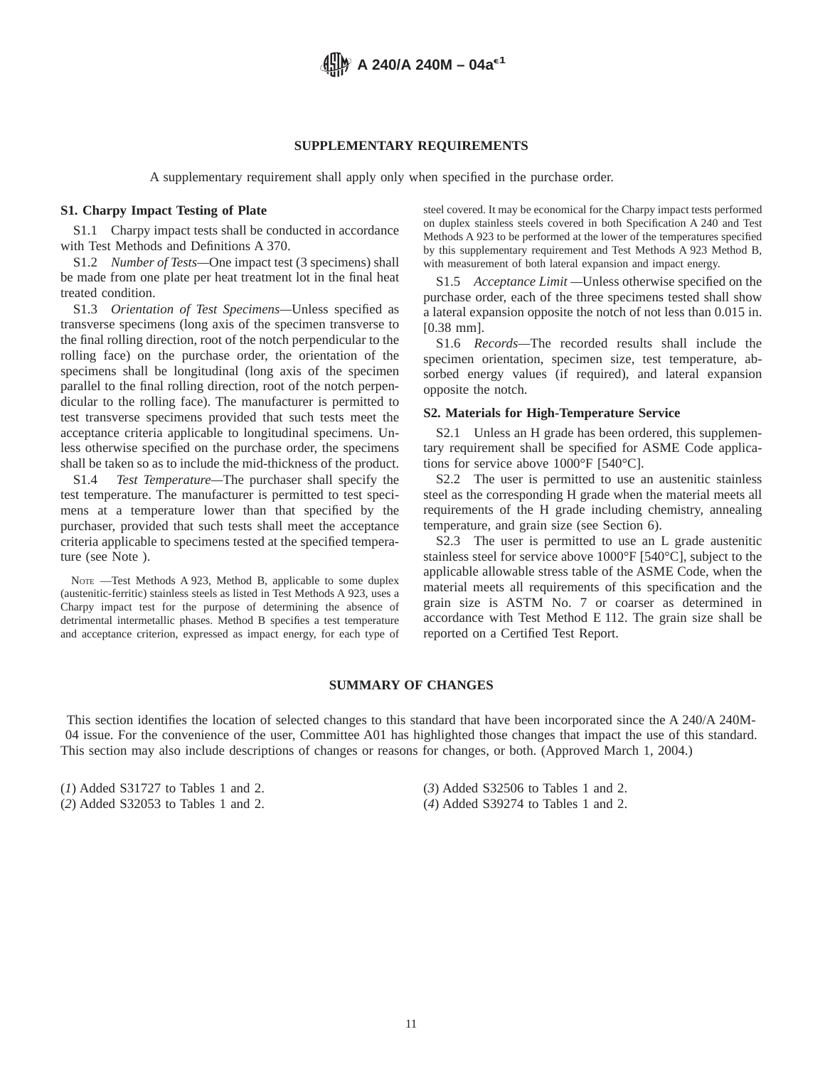### **SUPPLEMENTARY REQUIREMENTS**

A supplementary requirement shall apply only when specified in the purchase order.

### **S1. Charpy Impact Testing of Plate**

S1.1 Charpy impact tests shall be conducted in accordance with Test Methods and Definitions A 370.

S1.2 *Number of Tests—*One impact test (3 specimens) shall be made from one plate per heat treatment lot in the final heat treated condition.

S1.3 *Orientation of Test Specimens—*Unless specified as transverse specimens (long axis of the specimen transverse to the final rolling direction, root of the notch perpendicular to the rolling face) on the purchase order, the orientation of the specimens shall be longitudinal (long axis of the specimen parallel to the final rolling direction, root of the notch perpendicular to the rolling face). The manufacturer is permitted to test transverse specimens provided that such tests meet the acceptance criteria applicable to longitudinal specimens. Unless otherwise specified on the purchase order, the specimens shall be taken so as to include the mid-thickness of the product.

S1.4 *Test Temperature—*The purchaser shall specify the test temperature. The manufacturer is permitted to test specimens at a temperature lower than that specified by the purchaser, provided that such tests shall meet the acceptance criteria applicable to specimens tested at the specified temperature (see Note ).

NOTE —Test Methods A 923, Method B, applicable to some duplex (austenitic-ferritic) stainless steels as listed in Test Methods A 923, uses a Charpy impact test for the purpose of determining the absence of detrimental intermetallic phases. Method B specifies a test temperature and acceptance criterion, expressed as impact energy, for each type of steel covered. It may be economical for the Charpy impact tests performed on duplex stainless steels covered in both Specification A 240 and Test Methods A 923 to be performed at the lower of the temperatures specified by this supplementary requirement and Test Methods A 923 Method B, with measurement of both lateral expansion and impact energy.

S1.5 *Acceptance Limit —*Unless otherwise specified on the purchase order, each of the three specimens tested shall show a lateral expansion opposite the notch of not less than 0.015 in. [0.38 mm].

S1.6 *Records—*The recorded results shall include the specimen orientation, specimen size, test temperature, absorbed energy values (if required), and lateral expansion opposite the notch.

#### **S2. Materials for High-Temperature Service**

S2.1 Unless an H grade has been ordered, this supplementary requirement shall be specified for ASME Code applications for service above 1000°F [540°C].

S2.2 The user is permitted to use an austenitic stainless steel as the corresponding H grade when the material meets all requirements of the H grade including chemistry, annealing temperature, and grain size (see Section 6).

S2.3 The user is permitted to use an L grade austenitic stainless steel for service above 1000°F [540°C], subject to the applicable allowable stress table of the ASME Code, when the material meets all requirements of this specification and the grain size is ASTM No. 7 or coarser as determined in accordance with Test Method E 112. The grain size shall be reported on a Certified Test Report.

### **SUMMARY OF CHANGES**

This section identifies the location of selected changes to this standard that have been incorporated since the A 240/A 240M-04 issue. For the convenience of the user, Committee A01 has highlighted those changes that impact the use of this standard. This section may also include descriptions of changes or reasons for changes, or both. (Approved March 1, 2004.)

(*1*) Added S31727 to Tables 1 and 2. (*2*) Added S32053 to Tables 1 and 2. (*3*) Added S32506 to Tables 1 and 2. (*4*) Added S39274 to Tables 1 and 2.